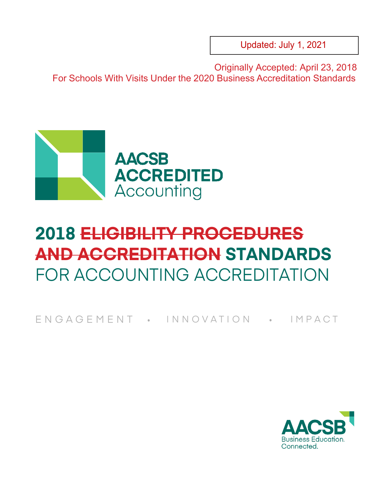Updated: July 1, 2021

Originally Accepted: April 23, 2018 For Schools With Visits Under the 2020 Business Accreditation Standards



# **2018 ELIGIBILITY PROCEDURES AND ACCREDITATION STANDARDS** FOR ACCOUNTING ACCREDITATION

F N G A G E M E N T · IN N O V A T I O N · IM P A C T

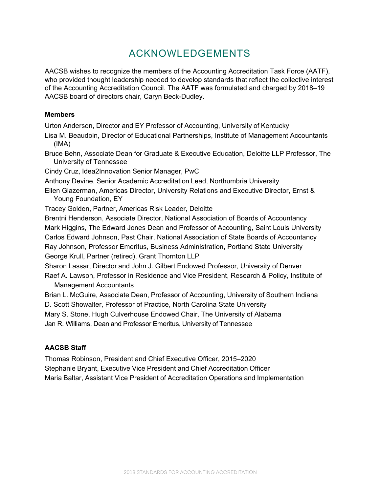# ACKNOWLEDGEMENTS

AACSB wishes to recognize the members of the Accounting Accreditation Task Force (AATF), who provided thought leadership needed to develop standards that reflect the collective interest of the Accounting Accreditation Council. The AATF was formulated and charged by 2018–19 AACSB board of directors chair, Caryn Beck-Dudley.

#### **Members**

Urton Anderson, Director and EY Professor of Accounting, University of Kentucky

- Lisa M. Beaudoin, Director of Educational Partnerships, Institute of Management Accountants (IMA)
- Bruce Behn, Associate Dean for Graduate & Executive Education, Deloitte LLP Professor, The University of Tennessee
- Cindy Cruz, Idea2Innovation Senior Manager, PwC
- Anthony Devine, Senior Academic Accreditation Lead, Northumbria University
- Ellen Glazerman, Americas Director, University Relations and Executive Director, Ernst & Young Foundation, EY

Tracey Golden, Partner, Americas Risk Leader, Deloitte

Brentni Henderson, Associate Director, National Association of Boards of Accountancy Mark Higgins, The Edward Jones Dean and Professor of Accounting, Saint Louis University Carlos Edward Johnson, Past Chair, National Association of State Boards of Accountancy Ray Johnson, Professor Emeritus, Business Administration, Portland State University George Krull, Partner (retired), Grant Thornton LLP

Sharon Lassar, Director and John J. Gilbert Endowed Professor, University of Denver Raef A. Lawson, Professor in Residence and Vice President, Research & Policy, Institute of Management Accountants

Brian L. McGuire, Associate Dean, Professor of Accounting, University of Southern Indiana

D. Scott Showalter, Professor of Practice, North Carolina State University

Mary S. Stone, Hugh Culverhouse Endowed Chair, The University of Alabama

Jan R. Williams, Dean and Professor Emeritus, University of Tennessee

# **AACSB Staff**

Thomas Robinson, President and Chief Executive Officer, 2015–2020 Stephanie Bryant, Executive Vice President and Chief Accreditation Officer Maria Baltar, Assistant Vice President of Accreditation Operations and Implementation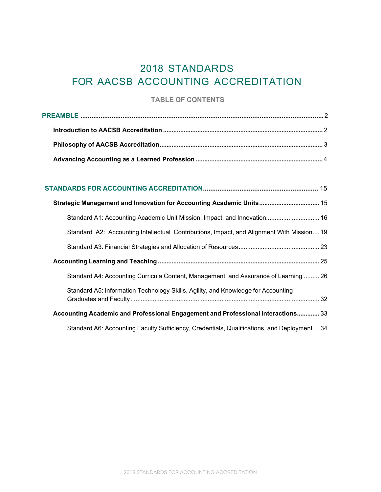# 2018 STANDARDS FOR AACSB ACCOUNTING ACCREDITATION

# **TABLE OF CONTENTS**

| Strategic Management and Innovation for Accounting Academic Units 15                        |
|---------------------------------------------------------------------------------------------|
| 81. Standard A1: Accounting Academic Unit Mission, Impact, and Innovation 16                |
| Standard A2: Accounting Intellectual Contributions, Impact, and Alignment With Mission 19   |
|                                                                                             |
|                                                                                             |
| Standard A4: Accounting Curricula Content, Management, and Assurance of Learning  26        |
| Standard A5: Information Technology Skills, Agility, and Knowledge for Accounting           |
| Accounting Academic and Professional Engagement and Professional Interactions 33            |
| Standard A6: Accounting Faculty Sufficiency, Credentials, Qualifications, and Deployment 34 |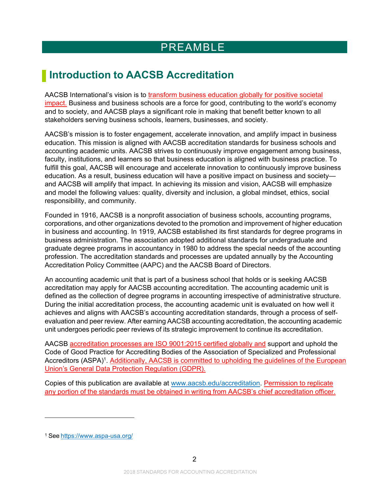# PREAMBLE

# <span id="page-3-1"></span><span id="page-3-0"></span>**Introduction to AACSB Accreditation**

AACSB International's vision is to transform business education globally for positive societal impact. Business and business schools are a force for good, contributing to the world's economy and to society, and AACSB plays a significant role in making that benefit better known to all stakeholders serving business schools, learners, businesses, and society.

AACSB's mission is to foster engagement, accelerate innovation, and amplify impact in business education. This mission is aligned with AACSB accreditation standards for business schools and accounting academic units. AACSB strives to continuously improve engagement among business, faculty, institutions, and learners so that business education is aligned with business practice. To fulfill this goal, AACSB will encourage and accelerate innovation to continuously improve business education. As a result, business education will have a positive impact on business and society and AACSB will amplify that impact. In achieving its mission and vision, AACSB will emphasize and model the following values: quality, diversity and inclusion, a global mindset, ethics, social responsibility, and community.

Founded in 1916, AACSB is a nonprofit association of business schools, accounting programs, corporations, and other organizations devoted to the promotion and improvement of higher education in business and accounting. In 1919, AACSB established its first standards for degree programs in business administration. The association adopted additional standards for undergraduate and graduate degree programs in accountancy in 1980 to address the special needs of the accounting profession. The accreditation standards and processes are updated annually by the Accounting Accreditation Policy Committee (AAPC) and the AACSB Board of Directors.

An accounting academic unit that is part of a business school that holds or is seeking AACSB accreditation may apply for AACSB accounting accreditation. The accounting academic unit is defined as the collection of degree programs in accounting irrespective of administrative structure. During the initial accreditation process, the accounting academic unit is evaluated on how well it achieves and aligns with AACSB's accounting accreditation standards, through a process of selfevaluation and peer review. After earning AACSB accounting accreditation, the accounting academic unit undergoes periodic peer reviews of its strategic improvement to continue its accreditation.

AACSB accreditation processes are ISO 9001:2015 certified globally and support and uphold the Code of Good Practice for Accrediting Bodies of the Association of Specialized and Professional Accreditors (ASPA)<sup>1</sup>. Additionally, AACSB is committed to upholding the guidelines of the European Union's General Data Protection Regulation (GDPR).

Copies of this publication are available at [www.aacsb.edu/accreditation.](http://www.aacsb.edu/accreditation) Permission to replicate any portion of the standards must be obtained in writing from AACSB's chief accreditation officer.

<span id="page-3-2"></span><sup>1</sup> See <https://www.aspa-usa.org/>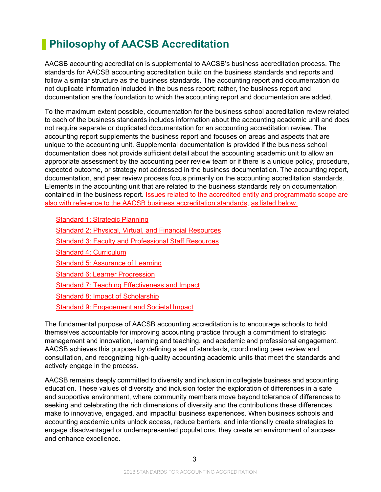# <span id="page-4-0"></span>**Philosophy of AACSB Accreditation**

AACSB accounting accreditation is supplemental to AACSB's business accreditation process. The standards for AACSB accounting accreditation build on the business standards and reports and follow a similar structure as the business standards. The accounting report and documentation do not duplicate information included in the business report; rather, the business report and documentation are the foundation to which the accounting report and documentation are added.

To the maximum extent possible, documentation for the business school accreditation review related to each of the business standards includes information about the accounting academic unit and does not require separate or duplicated documentation for an accounting accreditation review. The accounting report supplements the business report and focuses on areas and aspects that are unique to the accounting unit. Supplemental documentation is provided if the business school documentation does not provide sufficient detail about the accounting academic unit to allow an appropriate assessment by the accounting peer review team or if there is a unique policy, procedure, expected outcome, or strategy not addressed in the business documentation. The accounting report, documentation, and peer review process focus primarily on the accounting accreditation standards. Elements in the accounting unit that are related to the business standards rely on documentation contained in the business report. Issues related to the accredited entity and programmatic scope are also with reference to the AACSB business accreditation standards, as listed below.

Standard 1: Strategic Planning Standard 2: Physical, Virtual, and Financial Resources Standard 3: Faculty and Professional Staff Resources Standard 4: Curriculum **Standard 5: Assurance of Learning** Standard 6: Learner Progression Standard 7: Teaching Effectiveness and Impact Standard 8: Impact of Scholarship Standard 9: Engagement and Societal Impact

The fundamental purpose of AACSB accounting accreditation is to encourage schools to hold themselves accountable for improving accounting practice through a commitment to strategic management and innovation, learning and teaching, and academic and professional engagement. AACSB achieves this purpose by defining a set of standards, coordinating peer review and consultation, and recognizing high-quality accounting academic units that meet the standards and actively engage in the process.

AACSB remains deeply committed to diversity and inclusion in collegiate business and accounting education. These values of diversity and inclusion foster the exploration of differences in a safe and supportive environment, where community members move beyond tolerance of differences to seeking and celebrating the rich dimensions of diversity and the contributions these differences make to innovative, engaged, and impactful business experiences. When business schools and accounting academic units unlock access, reduce barriers, and intentionally create strategies to engage disadvantaged or underrepresented populations, they create an environment of success and enhance excellence.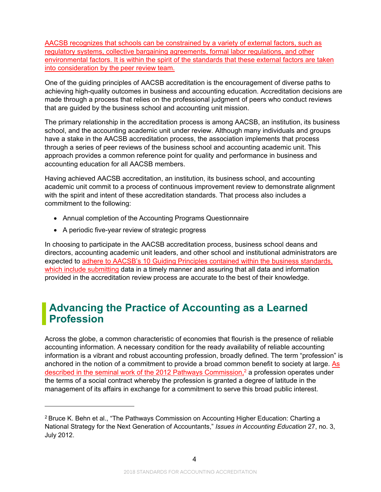AACSB recognizes that schools can be constrained by a variety of external factors, such as regulatory systems, collective bargaining agreements, formal labor regulations, and other environmental factors. It is within the spirit of the standards that these external factors are taken into consideration by the peer review team.

One of the guiding principles of AACSB accreditation is the encouragement of diverse paths to achieving high-quality outcomes in business and accounting education. Accreditation decisions are made through a process that relies on the professional judgment of peers who conduct reviews that are guided by the business school and accounting unit mission.

The primary relationship in the accreditation process is among AACSB, an institution, its business school, and the accounting academic unit under review. Although many individuals and groups have a stake in the AACSB accreditation process, the association implements that process through a series of peer reviews of the business school and accounting academic unit. This approach provides a common reference point for quality and performance in business and accounting education for all AACSB members.

Having achieved AACSB accreditation, an institution, its business school, and accounting academic unit commit to a process of continuous improvement review to demonstrate alignment with the spirit and intent of these accreditation standards. That process also includes a commitment to the following:

- Annual completion of the Accounting Programs Questionnaire
- A periodic five-year review of strategic progress

In choosing to participate in the AACSB accreditation process, business school deans and directors, accounting academic unit leaders, and other school and institutional administrators are expected to adhere to AACSB's 10 Guiding Principles contained within the business standards, which include submitting data in a timely manner and assuring that all data and information provided in the accreditation review process are accurate to the best of their knowledge.

# **Advancing the Practice of Accounting as a Learned Profession**

Across the globe, a common characteristic of economies that flourish is the presence of reliable accounting information. A necessary condition for the ready availability of reliable accounting information is a vibrant and robust accounting profession, broadly defined. The term "profession" is anchored in the notion of a commitment to provide a broad common benefit to society at large. As described in the seminal work of the 2012 Pathways Commission,<sup>2</sup> a profession operates under the terms of a social contract whereby the profession is granted a degree of latitude in the management of its affairs in exchange for a commitment to serve this broad public interest.

<span id="page-5-0"></span><sup>2</sup> Bruce K. Behn et al., "The Pathways Commission on Accounting Higher Education: Charting a National Strategy for the Next Generation of Accountants," *Issues in Accounting Education* 27, no. 3, July 2012.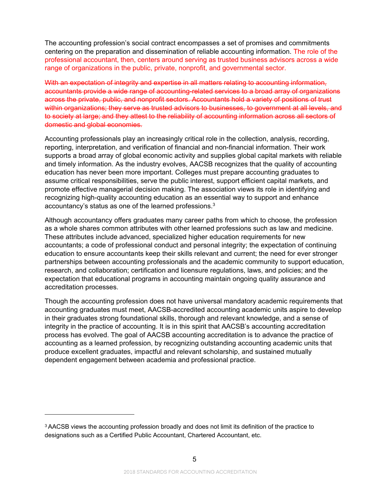The accounting profession's social contract encompasses a set of promises and commitments centering on the preparation and dissemination of reliable accounting information. The role of the professional accountant, then, centers around serving as trusted business advisors across a wide range of organizations in the public, private, nonprofit, and governmental sector.

With an expectation of integrity and expertise in all matters relating to accounting information, accountants provide a wide range of accounting-related services to a broad array of organizations across the private, public, and nonprofit sectors. Accountants hold a variety of positions of trust within organizations; they serve as trusted advisors to businesses, to government at all levels, and to society at large; and they attest to the reliability of accounting information across all sectors of domestic and global economies.

Accounting professionals play an increasingly critical role in the collection, analysis, recording, reporting, interpretation, and verification of financial and non-financial information. Their work supports a broad array of global economic activity and supplies global capital markets with reliable and timely information. As the industry evolves, AACSB recognizes that the quality of accounting education has never been more important. Colleges must prepare accounting graduates to assume critical responsibilities, serve the public interest, support efficient capital markets, and promote effective managerial decision making. The association views its role in identifying and recognizing high-quality accounting education as an essential way to support and enhance accountancy's status as one of the learned professions[.3](#page-6-0)

Although accountancy offers graduates many career paths from which to choose, the profession as a whole shares common attributes with other learned professions such as law and medicine. These attributes include advanced, specialized higher education requirements for new accountants; a code of professional conduct and personal integrity; the expectation of continuing education to ensure accountants keep their skills relevant and current; the need for ever stronger partnerships between accounting professionals and the academic community to support education, research, and collaboration; certification and licensure regulations, laws, and policies; and the expectation that educational programs in accounting maintain ongoing quality assurance and accreditation processes.

Though the accounting profession does not have universal mandatory academic requirements that accounting graduates must meet, AACSB-accredited accounting academic units aspire to develop in their graduates strong foundational skills, thorough and relevant knowledge, and a sense of integrity in the practice of accounting. It is in this spirit that AACSB's accounting accreditation process has evolved. The goal of AACSB accounting accreditation is to advance the practice of accounting as a learned profession, by recognizing outstanding accounting academic units that produce excellent graduates, impactful and relevant scholarship, and sustained mutually dependent engagement between academia and professional practice.

<span id="page-6-0"></span><sup>&</sup>lt;sup>3</sup> AACSB views the accounting profession broadly and does not limit its definition of the practice to designations such as a Certified Public Accountant, Chartered Accountant, etc.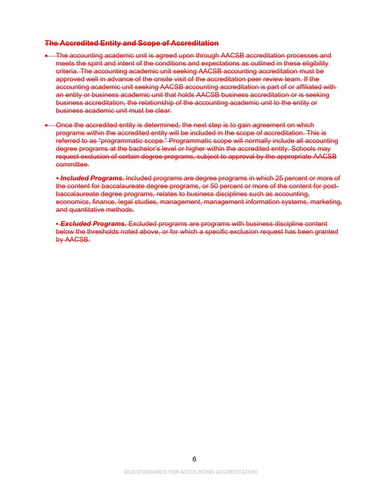#### **The Accredited Entity and Scope of Accreditation**

- The accounting academic unit is agreed upon through AACSB accreditation processes and meets the spirit and intent of the conditions and expectations as outlined in these eligibility criteria. The accounting academic unit seeking AACSB accounting accreditation must be approved well in advance of the onsite visit of the accreditation peer review team. If the accounting academic unit seeking AACSB accounting accreditation is part of or affiliated with an entity or business academic unit that holds AACSB business accreditation or is seeking business accreditation, the relationship of the accounting academic unit to the entity or business academic unit must be clear.
- Once the accredited entity is determined, the next step is to gain agreement on which programs within the accredited entity will be included in the scope of accreditation. This is referred to as "programmatic scope." Programmatic scope will normally include all accounting degree programs at the bachelor's level or higher within the accredited entity. Schools may request exclusion of certain degree programs, subject to approval by the appropriate AACSB committee.

*• Included Programs.* Included programs are degree programs in which 25 percent or more of the content for baccalaureate degree programs, or 50 percent or more of the content for postbaccalaureate degree programs, relates to business disciplines such as accounting, economics, finance, legal studies, management, management information systems, marketing, and quantitative methods.

• *Excluded Programs.* Excluded programs are programs with business discipline content below the thresholds noted above, or for which a specific exclusion request has been granted by AACSB.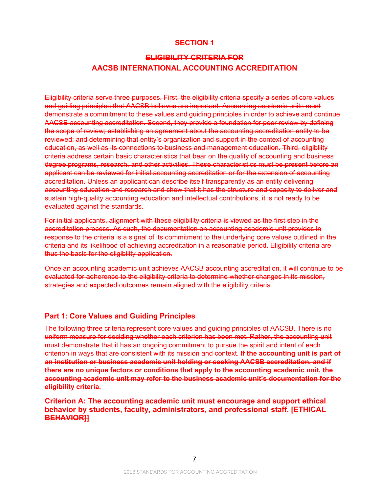### **SECTION 1**

# **ELIGIBILITY CRITERIA FOR AACSB INTERNATIONAL ACCOUNTING ACCREDITATION**

Eligibility criteria serve three purposes. First, the eligibility criteria specify a series of core values and guiding principles that AACSB believes are important. Accounting academic units must demonstrate a commitment to these values and guiding principles in order to achieve and continue AACSB accounting accreditation. Second, they provide a foundation for peer review by defining the scope of review; establishing an agreement about the accounting accreditation entity to be reviewed; and determining that entity's organization and support in the context of accounting education, as well as its connections to business and management education. Third, eligibility criteria address certain basic characteristics that bear on the quality of accounting and business degree programs, research, and other activities. These characteristics must be present before an applicant can be reviewed for initial accounting accreditation or for the extension of accounting accreditation. Unless an applicant can describe itself transparently as an entity delivering accounting education and research and show that it has the structure and capacity to deliver and sustain high-quality accounting education and intellectual contributions, it is not ready to be evaluated against the standards.

For initial applicants, alignment with these eligibility criteria is viewed as the first step in the accreditation process. As such, the documentation an accounting academic unit provides in response to the criteria is a signal of its commitment to the underlying core values outlined in the criteria and its likelihood of achieving accreditation in a reasonable period. Eligibility criteria are thus the basis for the eligibility application.

Once an accounting academic unit achieves AACSB accounting accreditation, it will continue to be evaluated for adherence to the eligibility criteria to determine whether changes in its mission, strategies and expected outcomes remain aligned with the eligibility criteria.

#### **Part 1: Core Values and Guiding Principles**

The following three criteria represent core values and guiding principles of AACSB. There is no uniform measure for deciding whether each criterion has been met. Rather, the accounting unit must demonstrate that it has an ongoing commitment to pursue the spirit and intent of each criterion in ways that are consistent with its mission and context. **If the accounting unit is part of an institution or business academic unit holding or seeking AACSB accreditation, and if there are no unique factors or conditions that apply to the accounting academic unit, the accounting academic unit may refer to the business academic unit's documentation for the eligibility criteria.**

**Criterion A: The accounting academic unit must encourage and support ethical behavior by students, faculty, administrators, and professional staff. [ETHICAL BEHAVIOR]]**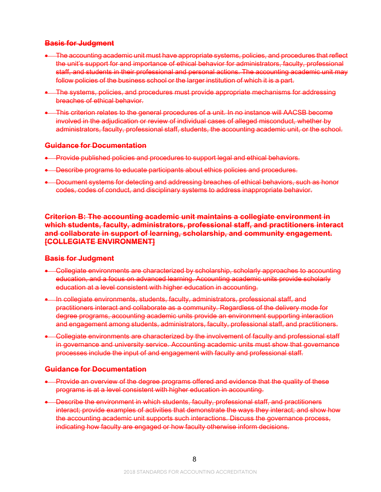# **Basis for Judgment**

- The accounting academic unit must have appropriate systems, policies, and procedures that reflect the unit's support for and importance of ethical behavior for administrators, faculty, professional staff, and students in their professional and personal actions. The accounting academic unit may follow policies of the business school or the larger institution of which it is a part.
- The systems, policies, and procedures must provide appropriate mechanisms for addressing breaches of ethical behavior.
- This criterion relates to the general procedures of a unit. In no instance will AACSB become involved in the adjudication or review of individual cases of alleged misconduct, whether by administrators, faculty, professional staff, students, the accounting academic unit, or the school.

#### **Guidance for Documentation**

- Provide published policies and procedures to support legal and ethical behaviors.
- Describe programs to educate participants about ethics policies and procedures.
- Document systems for detecting and addressing breaches of ethical behaviors, such as honor codes, codes of conduct, and disciplinary systems to address inappropriate behavior.

**Criterion B: The accounting academic unit maintains a collegiate environment in which students, faculty, administrators, professional staff, and practitioners interact and collaborate in support of learning, scholarship, and community engagement. [COLLEGIATE ENVIRONMENT]**

# **Basis for Judgment**

- Collegiate environments are characterized by scholarship, scholarly approaches to accounting education, and a focus on advanced learning. Accounting academic units provide scholarly education at a level consistent with higher education in accounting.
- In collegiate environments, students, faculty, administrators, professional staff, and practitioners interact and collaborate as a community. Regardless of the delivery mode for degree programs, accounting academic units provide an environment supporting interaction and engagement among students, administrators, faculty, professional staff, and practitioners.
- Collegiate environments are characterized by the involvement of faculty and professional staff in governance and university service. Accounting academic units must show that governance processes include the input of and engagement with faculty and professional staff.

# **Guidance for Documentation**

- Provide an overview of the degree programs offered and evidence that the quality of these programs is at a level consistent with higher education in accounting.
- Describe the environment in which students, faculty, professional staff, and practitioners interact; provide examples of activities that demonstrate the ways they interact; and show how the accounting academic unit supports such interactions. Discuss the governance process, indicating how faculty are engaged or how faculty otherwise inform decisions.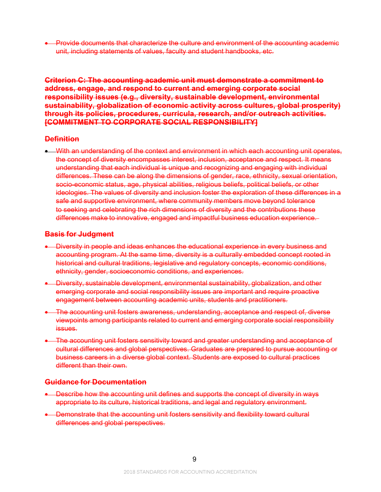• Provide documents that characterize the culture and environment of the accounting academic unit, including statements of values, faculty and student handbooks, etc.

**Criterion C: The accounting academic unit must demonstrate a commitment to address, engage, and respond to current and emerging corporate social responsibility issues (e.g., diversity, sustainable development, environmental sustainability, globalization of economic activity across cultures, global prosperity) through its policies, procedures, curricula, research, and/or outreach activities. [COMMITMENT TO CORPORATE SOCIAL RESPONSIBILITY]**

#### **Definition**

• With an understanding of the context and environment in which each accounting unit operates, the concept of diversity encompasses interest, inclusion, acceptance and respect. It means understanding that each individual is unique and recognizing and engaging with individual differences. These can be along the dimensions of gender, race, ethnicity, sexual orientation, socio-economic status, age, physical abilities, religious beliefs, political beliefs, or other ideologies. The values of diversity and inclusion foster the exploration of these differences in a safe and supportive environment, where community members move beyond tolerance to seeking and celebrating the rich dimensions of diversity and the contributions these differences make to innovative, engaged and impactful business education experience.

#### **Basis for Judgment**

- Diversity in people and ideas enhances the educational experience in every business and accounting program. At the same time, diversity is a culturally embedded concept rooted in historical and cultural traditions, legislative and regulatory concepts, economic conditions, ethnicity, gender, socioeconomic conditions, and experiences.
- Diversity, sustainable development, environmental sustainability, globalization, and other emerging corporate and social responsibility issues are important and require proactive engagement between accounting academic units, students and practitioners.
- The accounting unit fosters awareness, understanding, acceptance and respect of, diverse viewpoints among participants related to current and emerging corporate social responsibility issues.
- The accounting unit fosters sensitivity toward and greater understanding and acceptance of cultural differences and global perspectives. Graduates are prepared to pursue accounting or business careers in a diverse global context. Students are exposed to cultural practices different than their own.

#### **Guidance for Documentation**

- Describe how the accounting unit defines and supports the concept of diversity in ways appropriate to its culture, historical traditions, and legal and regulatory environment.
- Demonstrate that the accounting unit fosters sensitivity and flexibility toward cultural differences and global perspectives.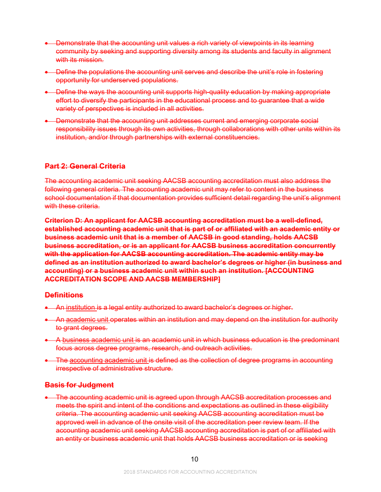- Demonstrate that the accounting unit values a rich variety of viewpoints in its learning community by seeking and supporting diversity among its students and faculty in alignment with its mission.
- Define the populations the accounting unit serves and describe the unit's role in fostering opportunity for underserved populations.
- Define the ways the accounting unit supports high-quality education by making appropriate effort to diversify the participants in the educational process and to guarantee that a wide variety of perspectives is included in all activities.
- Demonstrate that the accounting unit addresses current and emerging corporate social responsibility issues through its own activities, through collaborations with other units within its institution, and/or through partnerships with external constituencies.

# **Part 2: General Criteria**

The accounting academic unit seeking AACSB accounting accreditation must also address the following general criteria. The accounting academic unit may refer to content in the business school documentation if that documentation provides sufficient detail regarding the unit's alignment with these criteria.

**Criterion D: An applicant for AACSB accounting accreditation must be a well-defined, established accounting academic unit that is part of or affiliated with an academic entity or business academic unit that is a member of AACSB in good standing, holds AACSB business accreditation, or is an applicant for AACSB business accreditation concurrently with the application for AACSB accounting accreditation. The academic entity may be defined as an institution authorized to award bachelor's degrees or higher (in business and accounting) or a business academic unit within such an institution. [ACCOUNTING ACCREDITATION SCOPE AND AACSB MEMBERSHIP]**

# **Definitions**

- An institution is a legal entity authorized to award bachelor's degrees or higher.
- An academic unit operates within an institution and may depend on the institution for authority to grant degrees.
- A business academic unit is an academic unit in which business education is the predominant focus across degree programs, research, and outreach activities.
- The accounting academic unit is defined as the collection of degree programs in accounting irrespective of administrative structure.

# **Basis for Judgment**

• The accounting academic unit is agreed upon through AACSB accreditation processes and meets the spirit and intent of the conditions and expectations as outlined in these eligibility criteria. The accounting academic unit seeking AACSB accounting accreditation must be approved well in advance of the onsite visit of the accreditation peer review team. If the accounting academic unit seeking AACSB accounting accreditation is part of or affiliated with an entity or business academic unit that holds AACSB business accreditation or is seeking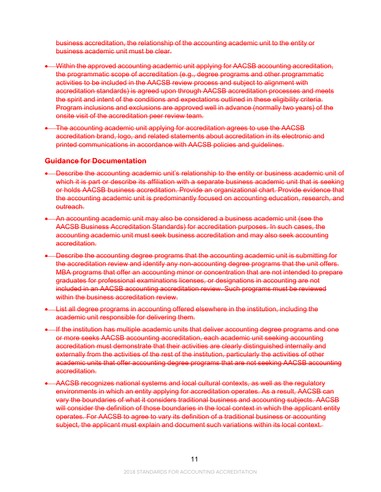business accreditation, the relationship of the accounting academic unit to the entity or business academic unit must be clear.

- Within the approved accounting academic unit applying for AACSB accounting accreditation, the programmatic scope of accreditation (e.g., degree programs and other programmatic activities to be included in the AACSB review process and subject to alignment with accreditation standards) is agreed upon through AACSB accreditation processes and meets the spirit and intent of the conditions and expectations outlined in these eligibility criteria. Program inclusions and exclusions are approved well in advance (normally two years) of the onsite visit of the accreditation peer review team.
- The accounting academic unit applying for accreditation agrees to use the AACSB accreditation brand, logo, and related statements about accreditation in its electronic and printed communications in accordance with AACSB policies and guidelines.

#### **Guidance for Documentation**

- Describe the accounting academic unit's relationship to the entity or business academic unit of which it is part or describe its affiliation with a separate business academic unit that is seeking or holds AACSB business accreditation. Provide an organizational chart. Provide evidence that the accounting academic unit is predominantly focused on accounting education, research, and outreach.
- An accounting academic unit may also be considered a business academic unit (see the AACSB Business Accreditation Standards) for accreditation purposes. In such cases, the accounting academic unit must seek business accreditation and may also seek accounting accreditation.
- Describe the accounting degree programs that the accounting academic unit is submitting for the accreditation review and identify any non-accounting degree programs that the unit offers. MBA programs that offer an accounting minor or concentration that are not intended to prepare graduates for professional examinations licenses, or designations in accounting are not included in an AACSB accounting accreditation review. Such programs must be reviewed within the business accreditation review.
- List all degree programs in accounting offered elsewhere in the institution, including the academic unit responsible for delivering them.
- If the institution has multiple academic units that deliver accounting degree programs and one or more seeks AACSB accounting accreditation, each academic unit seeking accounting accreditation must demonstrate that their activities are clearly distinguished internally and externally from the activities of the rest of the institution, particularly the activities of other academic units that offer accounting degree programs that are not seeking AACSB accounting accreditation.
- AACSB recognizes national systems and local cultural contexts, as well as the regulatory environments in which an entity applying for accreditation operates. As a result, AACSB can vary the boundaries of what it considers traditional business and accounting subjects. AACSB will consider the definition of those boundaries in the local context in which the applicant entity operates. For AACSB to agree to vary its definition of a traditional business or accounting subject, the applicant must explain and document such variations within its local context.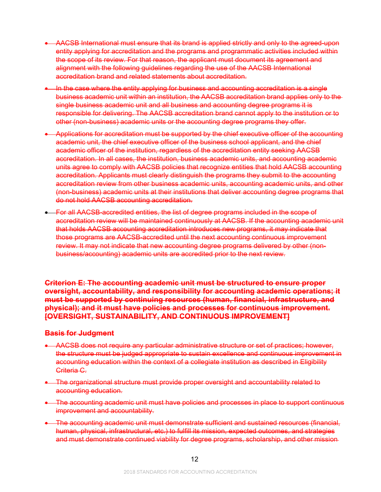- AACSB International must ensure that its brand is applied strictly and only to the agreed-upon entity applying for accreditation and the programs and programmatic activities included within the scope of its review. For that reason, the applicant must document its agreement and alignment with the following guidelines regarding the use of the AACSB International accreditation brand and related statements about accreditation.
- In the case where the entity applying for business and accounting accreditation is a single business academic unit within an institution, the AACSB accreditation brand applies only to the single business academic unit and all business and accounting degree programs it is responsible for delivering. The AACSB accreditation brand cannot apply to the institution or to other (non-business) academic units or the accounting degree programs they offer.
- Applications for accreditation must be supported by the chief executive officer of the accounting academic unit, the chief executive officer of the business school applicant, and the chief academic officer of the institution, regardless of the accreditation entity seeking AACSB accreditation. In all cases, the institution, business academic units, and accounting academic units agree to comply with AACSB policies that recognize entities that hold AACSB accounting accreditation. Applicants must clearly distinguish the programs they submit to the accounting accreditation review from other business academic units, accounting academic units, and other (non-business) academic units at their institutions that deliver accounting degree programs that do not hold AACSB accounting accreditation.
- For all AACSB-accredited entities, the list of degree programs included in the scope of accreditation review will be maintained continuously at AACSB. If the accounting academic unit that holds AACSB accounting accreditation introduces new programs, it may indicate that those programs are AACSB-accredited until the next accounting continuous improvement review. It may not indicate that new accounting degree programs delivered by other (nonbusiness/accounting) academic units are accredited prior to the next review.

**Criterion E: The accounting academic unit must be structured to ensure proper oversight, accountability, and responsibility for accounting academic operations; it must be supported by continuing resources (human, financial, infrastructure, and physical); and it must have policies and processes for continuous improvement. [OVERSIGHT, SUSTAINABILITY, AND CONTINUOUS IMPROVEMENT]**

# **Basis for Judgment**

- AACSB does not require any particular administrative structure or set of practices; however, the structure must be judged appropriate to sustain excellence and continuous improvement in accounting education within the context of a collegiate institution as described in Eligibility Criteria C.
- The organizational structure must provide proper oversight and accountability related to accounting education.
- The accounting academic unit must have policies and processes in place to support continuous improvement and accountability.
- The accounting academic unit must demonstrate sufficient and sustained resources (financial, human, physical, infrastructural, etc.) to fulfill its mission, expected outcomes, and strategies and must demonstrate continued viability for degree programs, scholarship, and other mission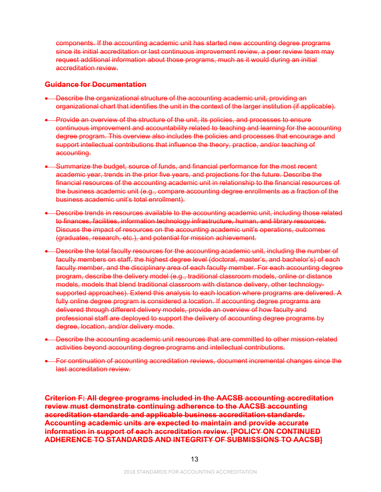components. If the accounting academic unit has started new accounting degree programs since its initial accreditation or last continuous improvement review, a peer review team may request additional information about those programs, much as it would during an initial accreditation review.

#### **Guidance for Documentation**

- Describe the organizational structure of the accounting academic unit, providing an organizational chart that identifies the unit in the context of the larger institution (if applicable).
- Provide an overview of the structure of the unit, its policies, and processes to ensure continuous improvement and accountability related to teaching and learning for the accounting degree program. This overview also includes the policies and processes that encourage and support intellectual contributions that influence the theory, practice, and/or teaching of accounting.
- Summarize the budget, source of funds, and financial performance for the most recent academic year, trends in the prior five years, and projections for the future. Describe the financial resources of the accounting academic unit in relationship to the financial resources of the business academic unit (e.g., compare accounting degree enrollments as a fraction of the business academic unit's total enrollment).
- Describe trends in resources available to the accounting academic unit, including those related to finances, facilities, information technology infrastructure, human, and library resources. Discuss the impact of resources on the accounting academic unit's operations, outcomes (graduates, research, etc.), and potential for mission achievement.
- Describe the total faculty resources for the accounting academic unit, including the number of faculty members on staff, the highest degree level (doctoral, master's, and bachelor's) of each faculty member, and the disciplinary area of each faculty member. For each accounting degree program, describe the delivery model (e.g., traditional classroom models, online or distance models, models that blend traditional classroom with distance delivery, other technologysupported approaches). Extend this analysis to each location where programs are delivered. A fully online degree program is considered a location. If accounting degree programs are delivered through different delivery models, provide an overview of how faculty and professional staff are deployed to support the delivery of accounting degree programs by degree, location, and/or delivery mode.
- Describe the accounting academic unit resources that are committed to other mission-related activities beyond accounting degree programs and intellectual contributions.
- For continuation of accounting accreditation reviews, document incremental changes since the last accreditation review.

**Criterion F: All degree programs included in the AACSB accounting accreditation review must demonstrate continuing adherence to the AACSB accounting accreditation standards and applicable business accreditation standards. Accounting academic units are expected to maintain and provide accurate information in support of each accreditation review. [POLICY ON CONTINUED ADHERENCE TO STANDARDS AND INTEGRITY OF SUBMISSIONS TO AACSB]**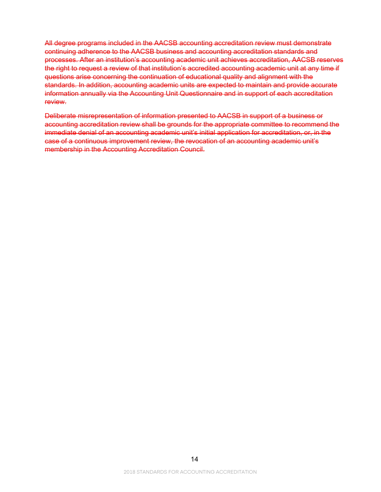All degree programs included in the AACSB accounting accreditation review must demonstrate continuing adherence to the AACSB business and accounting accreditation standards and processes. After an institution's accounting academic unit achieves accreditation, AACSB reserves the right to request a review of that institution's accredited accounting academic unit at any time if questions arise concerning the continuation of educational quality and alignment with the standards. In addition, accounting academic units are expected to maintain and provide accurate information annually via the Accounting Unit Questionnaire and in support of each accreditation review.

Deliberate misrepresentation of information presented to AACSB in support of a business or accounting accreditation review shall be grounds for the appropriate committee to recommend the immediate denial of an accounting academic unit's initial application for accreditation, or, in the case of a continuous improvement review, the revocation of an accounting academic unit's membership in the Accounting Accreditation Council.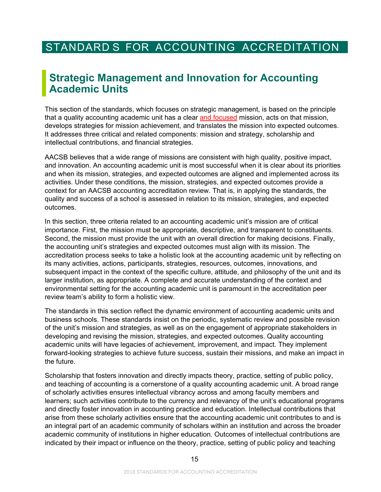# <span id="page-16-0"></span>STANDARD S FOR ACCOUNTING ACCREDITATION

# <span id="page-16-1"></span>**Strategic Management and Innovation for Accounting Academic Units**

This section of the standards, which focuses on strategic management, is based on the principle that a quality accounting academic unit has a clear and focused mission, acts on that mission, develops strategies for mission achievement, and translates the mission into expected outcomes. It addresses three critical and related components: mission and strategy, scholarship and intellectual contributions, and financial strategies.

AACSB believes that a wide range of missions are consistent with high quality, positive impact, and innovation. An accounting academic unit is most successful when it is clear about its priorities and when its mission, strategies, and expected outcomes are aligned and implemented across its activities. Under these conditions, the mission, strategies, and expected outcomes provide a context for an AACSB accounting accreditation review. That is, in applying the standards, the quality and success of a school is assessed in relation to its mission, strategies, and expected outcomes.

In this section, three criteria related to an accounting academic unit's mission are of critical importance. First, the mission must be appropriate, descriptive, and transparent to constituents. Second, the mission must provide the unit with an overall direction for making decisions. Finally, the accounting unit's strategies and expected outcomes must align with its mission. The accreditation process seeks to take a holistic look at the accounting academic unit by reflecting on its many activities, actions, participants, strategies, resources, outcomes, innovations, and subsequent impact in the context of the specific culture, attitude, and philosophy of the unit and its larger institution, as appropriate. A complete and accurate understanding of the context and environmental setting for the accounting academic unit is paramount in the accreditation peer review team's ability to form a holistic view.

The standards in this section reflect the dynamic environment of accounting academic units and business schools. These standards insist on the periodic, systematic review and possible revision of the unit's mission and strategies, as well as on the engagement of appropriate stakeholders in developing and revising the mission, strategies, and expected outcomes. Quality accounting academic units will have legacies of achievement, improvement, and impact. They implement forward-looking strategies to achieve future success, sustain their missions, and make an impact in the future.

Scholarship that fosters innovation and directly impacts theory, practice, setting of public policy, and teaching of accounting is a cornerstone of a quality accounting academic unit. A broad range of scholarly activities ensures intellectual vibrancy across and among faculty members and learners; such activities contribute to the currency and relevancy of the unit's educational programs and directly foster innovation in accounting practice and education. Intellectual contributions that arise from these scholarly activities ensure that the accounting academic unit contributes to and is an integral part of an academic community of scholars within an institution and across the broader academic community of institutions in higher education. Outcomes of intellectual contributions are indicated by their impact or influence on the theory, practice, setting of public policy and teaching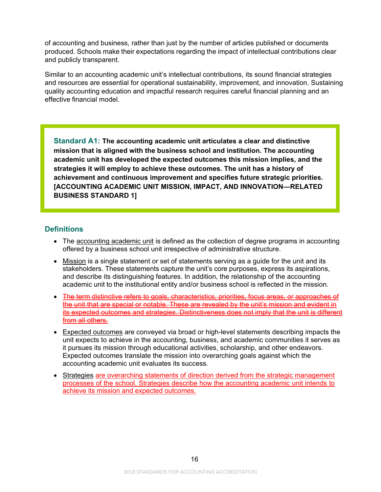of accounting and business, rather than just by the number of articles published or documents produced. Schools make their expectations regarding the impact of intellectual contributions clear and publicly transparent.

Similar to an accounting academic unit's intellectual contributions, its sound financial strategies and resources are essential for operational sustainability, improvement, and innovation. Sustaining quality accounting education and impactful research requires careful financial planning and an effective financial model.

**Standard A1: The accounting academic unit articulates a clear and distinctive mission that is aligned with the business school and institution. The accounting academic unit has developed the expected outcomes this mission implies, and the strategies it will employ to achieve these outcomes. The unit has a history of achievement and continuous improvement and specifies future strategic priorities. [ACCOUNTING ACADEMIC UNIT MISSION, IMPACT, AND INNOVATION—RELATED BUSINESS STANDARD 1]**

# **Definitions**

- The accounting academic unit is defined as the collection of degree programs in accounting offered by a business school unit irrespective of administrative structure.
- Mission is a single statement or set of statements serving as a quide for the unit and its stakeholders. These statements capture the unit's core purposes, express its aspirations, and describe its distinguishing features. In addition, the relationship of the accounting academic unit to the institutional entity and/or business school is reflected in the mission.
- The term distinctive refers to goals, characteristics, priorities, focus areas, or approaches of the unit that are special or notable. These are revealed by the unit's mission and evident in its expected outcomes and strategies. Distinctiveness does not imply that the unit is different from all others.
- Expected outcomes are conveyed via broad or high-level statements describing impacts the unit expects to achieve in the accounting, business, and academic communities it serves as it pursues its mission through educational activities, scholarship, and other endeavors. Expected outcomes translate the mission into overarching goals against which the accounting academic unit evaluates its success.
- Strategies are overarching statements of direction derived from the strategic management processes of the school. Strategies describe how the accounting academic unit intends to achieve its mission and expected outcomes.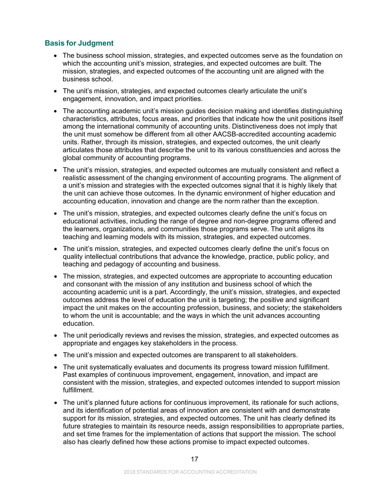# **Basis for Judgment**

- The business school mission, strategies, and expected outcomes serve as the foundation on which the accounting unit's mission, strategies, and expected outcomes are built. The mission, strategies, and expected outcomes of the accounting unit are aligned with the business school.
- The unit's mission, strategies, and expected outcomes clearly articulate the unit's engagement, innovation, and impact priorities.
- The accounting academic unit's mission guides decision making and identifies distinguishing characteristics, attributes, focus areas, and priorities that indicate how the unit positions itself among the international community of accounting units. Distinctiveness does not imply that the unit must somehow be different from all other AACSB-accredited accounting academic units. Rather, through its mission, strategies, and expected outcomes, the unit clearly articulates those attributes that describe the unit to its various constituencies and across the global community of accounting programs.
- The unit's mission, strategies, and expected outcomes are mutually consistent and reflect a realistic assessment of the changing environment of accounting programs. The alignment of a unit's mission and strategies with the expected outcomes signal that it is highly likely that the unit can achieve those outcomes. In the dynamic environment of higher education and accounting education, innovation and change are the norm rather than the exception.
- The unit's mission, strategies, and expected outcomes clearly define the unit's focus on educational activities, including the range of degree and non-degree programs offered and the learners, organizations, and communities those programs serve. The unit aligns its teaching and learning models with its mission, strategies, and expected outcomes.
- The unit's mission, strategies, and expected outcomes clearly define the unit's focus on quality intellectual contributions that advance the knowledge, practice, public policy, and teaching and pedagogy of accounting and business.
- The mission, strategies, and expected outcomes are appropriate to accounting education and consonant with the mission of any institution and business school of which the accounting academic unit is a part. Accordingly, the unit's mission, strategies, and expected outcomes address the level of education the unit is targeting; the positive and significant impact the unit makes on the accounting profession, business, and society; the stakeholders to whom the unit is accountable; and the ways in which the unit advances accounting education.
- The unit periodically reviews and revises the mission, strategies, and expected outcomes as appropriate and engages key stakeholders in the process.
- The unit's mission and expected outcomes are transparent to all stakeholders.
- The unit systematically evaluates and documents its progress toward mission fulfillment. Past examples of continuous improvement, engagement, innovation, and impact are consistent with the mission, strategies, and expected outcomes intended to support mission fulfillment.
- The unit's planned future actions for continuous improvement, its rationale for such actions, and its identification of potential areas of innovation are consistent with and demonstrate support for its mission, strategies, and expected outcomes. The unit has clearly defined its future strategies to maintain its resource needs, assign responsibilities to appropriate parties, and set time frames for the implementation of actions that support the mission. The school also has clearly defined how these actions promise to impact expected outcomes.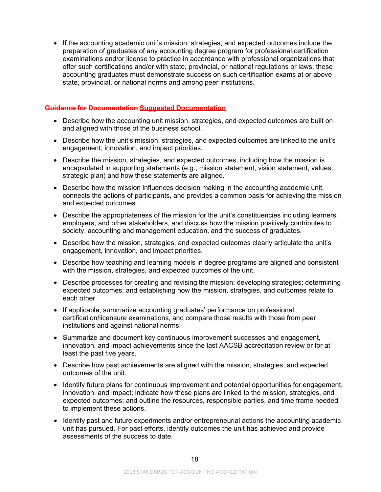• If the accounting academic unit's mission, strategies, and expected outcomes include the preparation of graduates of any accounting degree program for professional certification examinations and/or license to practice in accordance with professional organizations that offer such certifications and/or with state, provincial, or national regulations or laws, these accounting graduates must demonstrate success on such certification exams at or above state, provincial, or national norms and among peer institutions.

#### **Guidance for Documentation Suggested Documentation**

- Describe how the accounting unit mission, strategies, and expected outcomes are built on and aligned with those of the business school.
- Describe how the unit's mission, strategies, and expected outcomes are linked to the unit's engagement, innovation, and impact priorities.
- Describe the mission, strategies, and expected outcomes, including how the mission is encapsulated in supporting statements (e.g., mission statement, vision statement, values, strategic plan) and how these statements are aligned.
- Describe how the mission influences decision making in the accounting academic unit, connects the actions of participants, and provides a common basis for achieving the mission and expected outcomes.
- Describe the appropriateness of the mission for the unit's constituencies including learners, employers, and other stakeholders, and discuss how the mission positively contributes to society, accounting and management education, and the success of graduates.
- Describe how the mission, strategies, and expected outcomes clearly articulate the unit's engagement, innovation, and impact priorities.
- Describe how teaching and learning models in degree programs are aligned and consistent with the mission, strategies, and expected outcomes of the unit.
- Describe processes for creating and revising the mission; developing strategies; determining expected outcomes; and establishing how the mission, strategies, and outcomes relate to each other.
- If applicable, summarize accounting graduates' performance on professional certification/licensure examinations, and compare those results with those from peer institutions and against national norms.
- Summarize and document key continuous improvement successes and engagement, innovation, and impact achievements since the last AACSB accreditation review or for at least the past five years.
- Describe how past achievements are aligned with the mission, strategies, and expected outcomes of the unit.
- Identify future plans for continuous improvement and potential opportunities for engagement, innovation, and impact; indicate how these plans are linked to the mission, strategies, and expected outcomes; and outline the resources, responsible parties, and time frame needed to implement these actions.
- Identify past and future experiments and/or entrepreneurial actions the accounting academic unit has pursued. For past efforts, identify outcomes the unit has achieved and provide assessments of the success to date.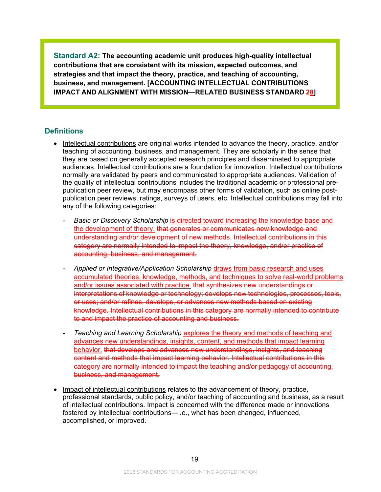**Standard A2: The accounting academic unit produces high-quality intellectual contributions that are consistent with its mission, expected outcomes, and strategies and that impact the theory, practice, and teaching of accounting, business, and management. [ACCOUNTING INTELLECTUAL CONTRIBUTIONS IMPACT AND ALIGNMENT WITH MISSION—RELATED BUSINESS STANDARD 28]**

# **Definitions**

- Intellectual contributions are original works intended to advance the theory, practice, and/or teaching of accounting, business, and management. They are scholarly in the sense that they are based on generally accepted research principles and disseminated to appropriate audiences. Intellectual contributions are a foundation for innovation. Intellectual contributions normally are validated by peers and communicated to appropriate audiences. Validation of the quality of intellectual contributions includes the traditional academic or professional prepublication peer review, but may encompass other forms of validation, such as online postpublication peer reviews, ratings, surveys of users, etc. Intellectual contributions may fall into any of the following categories:
	- *Basic or Discovery Scholarship* is directed toward increasing the knowledge base and the development of theory. that generates or communicates new knowledge and understanding and/or development of new methods. Intellectual contributions in this category are normally intended to impact the theory, knowledge, and/or practice of accounting, business, and management.
	- *Applied or Integrative/Application Scholarship* draws from basic research and uses accumulated theories, knowledge, methods, and techniques to solve real-world problems and/or issues associated with practice. that synthesizes new understandings or interpretations of knowledge or technology; develops new technologies, processes, tools, or uses; and/or refines, develops, or advances new methods based on existing knowledge. Intellectual contributions in this category are normally intended to contribute to and impact the practice of accounting and business.
	- *Teaching and Learning Scholarship* explores the theory and methods of teaching and advances new understandings, insights, content, and methods that impact learning behavior. that develops and advances new understandings, insights, and teaching content and methods that impact learning behavior. Intellectual contributions in this category are normally intended to impact the teaching and/or pedagogy of accounting, business, and management.
- Impact of intellectual contributions relates to the advancement of theory, practice, professional standards, public policy, and/or teaching of accounting and business, as a result of intellectual contributions. Impact is concerned with the difference made or innovations fostered by intellectual contributions—i.e., what has been changed, influenced, accomplished, or improved.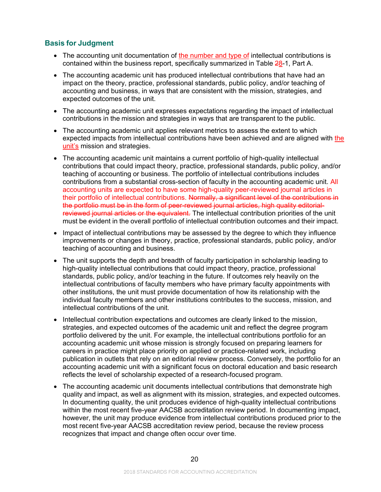# **Basis for Judgment**

- The accounting unit documentation of the number and type of intellectual contributions is contained within the business report, specifically summarized in Table 28-1, Part A.
- The accounting academic unit has produced intellectual contributions that have had an impact on the theory, practice, professional standards, public policy, and/or teaching of accounting and business, in ways that are consistent with the mission, strategies, and expected outcomes of the unit.
- The accounting academic unit expresses expectations regarding the impact of intellectual contributions in the mission and strategies in ways that are transparent to the public.
- The accounting academic unit applies relevant metrics to assess the extent to which expected impacts from intellectual contributions have been achieved and are aligned with the unit's mission and strategies.
- The accounting academic unit maintains a current portfolio of high-quality intellectual contributions that could impact theory, practice, professional standards, public policy, and/or teaching of accounting or business. The portfolio of intellectual contributions includes contributions from a substantial cross-section of faculty in the accounting academic unit. All accounting units are expected to have some high-quality peer-reviewed journal articles in their portfolio of intellectual contributions. Normally, a significant level of the contributions in the portfolio must be in the form of peer-reviewed journal articles, high quality editorialreviewed journal articles or the equivalent. The intellectual contribution priorities of the unit must be evident in the overall portfolio of intellectual contribution outcomes and their impact.
- Impact of intellectual contributions may be assessed by the degree to which they influence improvements or changes in theory, practice, professional standards, public policy, and/or teaching of accounting and business.
- The unit supports the depth and breadth of faculty participation in scholarship leading to high-quality intellectual contributions that could impact theory, practice, professional standards, public policy, and/or teaching in the future. If outcomes rely heavily on the intellectual contributions of faculty members who have primary faculty appointments with other institutions, the unit must provide documentation of how its relationship with the individual faculty members and other institutions contributes to the success, mission, and intellectual contributions of the unit.
- Intellectual contribution expectations and outcomes are clearly linked to the mission, strategies, and expected outcomes of the academic unit and reflect the degree program portfolio delivered by the unit. For example, the intellectual contributions portfolio for an accounting academic unit whose mission is strongly focused on preparing learners for careers in practice might place priority on applied or practice-related work, including publication in outlets that rely on an editorial review process. Conversely, the portfolio for an accounting academic unit with a significant focus on doctoral education and basic research reflects the level of scholarship expected of a research-focused program.
- The accounting academic unit documents intellectual contributions that demonstrate high quality and impact, as well as alignment with its mission, strategies, and expected outcomes. In documenting quality, the unit produces evidence of high-quality intellectual contributions within the most recent five-year AACSB accreditation review period. In documenting impact, however, the unit may produce evidence from intellectual contributions produced prior to the most recent five-year AACSB accreditation review period, because the review process recognizes that impact and change often occur over time.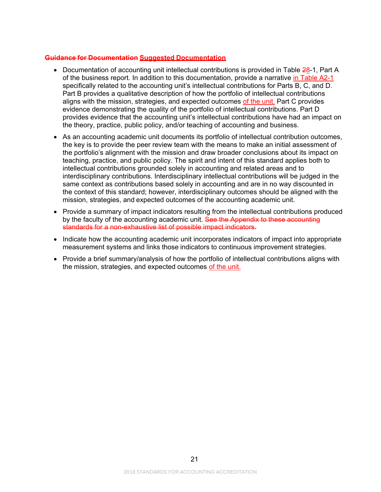### **Guidance for Documentation Suggested Documentation**

- Documentation of accounting unit intellectual contributions is provided in Table 28-1, Part A of the business report. In addition to this documentation, provide a narrative in Table A2-1 specifically related to the accounting unit's intellectual contributions for Parts B, C, and D. Part B provides a qualitative description of how the portfolio of intellectual contributions aligns with the mission, strategies, and expected outcomes of the unit. Part C provides evidence demonstrating the quality of the portfolio of intellectual contributions. Part D provides evidence that the accounting unit's intellectual contributions have had an impact on the theory, practice, public policy, and/or teaching of accounting and business.
- As an accounting academic unit documents its portfolio of intellectual contribution outcomes, the key is to provide the peer review team with the means to make an initial assessment of the portfolio's alignment with the mission and draw broader conclusions about its impact on teaching, practice, and public policy. The spirit and intent of this standard applies both to intellectual contributions grounded solely in accounting and related areas and to interdisciplinary contributions. Interdisciplinary intellectual contributions will be judged in the same context as contributions based solely in accounting and are in no way discounted in the context of this standard; however, interdisciplinary outcomes should be aligned with the mission, strategies, and expected outcomes of the accounting academic unit.
- Provide a summary of impact indicators resulting from the intellectual contributions produced by the faculty of the accounting academic unit. See the Appendix to these accounting standards for a non-exhaustive list of possible impact indicators.
- Indicate how the accounting academic unit incorporates indicators of impact into appropriate measurement systems and links those indicators to continuous improvement strategies.
- Provide a brief summary/analysis of how the portfolio of intellectual contributions aligns with the mission, strategies, and expected outcomes of the unit.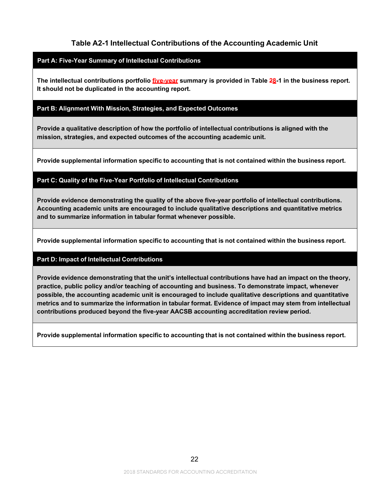# **Table A2-1 Intellectual Contributions of the Accounting Academic Unit**

#### **Part A: Five-Year Summary of Intellectual Contributions**

**The intellectual contributions portfolio five-year summary is provided in Table 28-1 in the business report. It should not be duplicated in the accounting report.**

#### **Part B: Alignment With Mission, Strategies, and Expected Outcomes**

**Provide a qualitative description of how the portfolio of intellectual contributions is aligned with the mission, strategies, and expected outcomes of the accounting academic unit.**

**Provide supplemental information specific to accounting that is not contained within the business report.**

#### **Part C: Quality of the Five-Year Portfolio of Intellectual Contributions**

**Provide evidence demonstrating the quality of the above five-year portfolio of intellectual contributions. Accounting academic units are encouraged to include qualitative descriptions and quantitative metrics and to summarize information in tabular format whenever possible.**

**Provide supplemental information specific to accounting that is not contained within the business report.**

#### **Part D: Impact of Intellectual Contributions**

**Provide evidence demonstrating that the unit's intellectual contributions have had an impact on the theory, practice, public policy and/or teaching of accounting and business. To demonstrate impact, whenever possible, the accounting academic unit is encouraged to include qualitative descriptions and quantitative metrics and to summarize the information in tabular format. Evidence of impact may stem from intellectual contributions produced beyond the five-year AACSB accounting accreditation review period.**

**Provide supplemental information specific to accounting that is not contained within the business report.**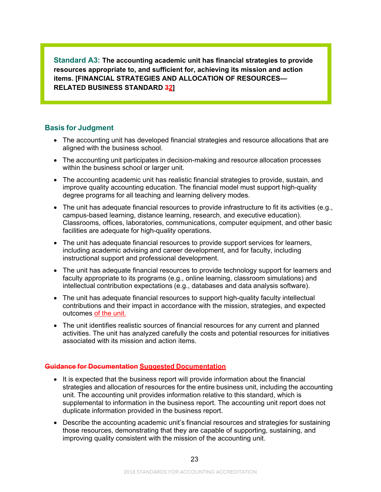**Standard A3: The accounting academic unit has financial strategies to provide resources appropriate to, and sufficient for, achieving its mission and action items. [FINANCIAL STRATEGIES AND ALLOCATION OF RESOURCES— RELATED BUSINESS STANDARD 32]**

# **Basis for Judgment**

- The accounting unit has developed financial strategies and resource allocations that are aligned with the business school.
- The accounting unit participates in decision-making and resource allocation processes within the business school or larger unit.
- The accounting academic unit has realistic financial strategies to provide, sustain, and improve quality accounting education. The financial model must support high-quality degree programs for all teaching and learning delivery modes.
- The unit has adequate financial resources to provide infrastructure to fit its activities (e.g., campus-based learning, distance learning, research, and executive education). Classrooms, offices, laboratories, communications, computer equipment, and other basic facilities are adequate for high-quality operations.
- The unit has adequate financial resources to provide support services for learners, including academic advising and career development, and for faculty, including instructional support and professional development.
- The unit has adequate financial resources to provide technology support for learners and faculty appropriate to its programs (e.g., online learning, classroom simulations) and intellectual contribution expectations (e.g., databases and data analysis software).
- The unit has adequate financial resources to support high-quality faculty intellectual contributions and their impact in accordance with the mission, strategies, and expected outcomes of the unit.
- The unit identifies realistic sources of financial resources for any current and planned activities. The unit has analyzed carefully the costs and potential resources for initiatives associated with its mission and action items.

#### **Guidance for Documentation Suggested Documentation**

- It is expected that the business report will provide information about the financial strategies and allocation of resources for the entire business unit, including the accounting unit. The accounting unit provides information relative to this standard, which is supplemental to information in the business report. The accounting unit report does not duplicate information provided in the business report.
- Describe the accounting academic unit's financial resources and strategies for sustaining those resources, demonstrating that they are capable of supporting, sustaining, and improving quality consistent with the mission of the accounting unit.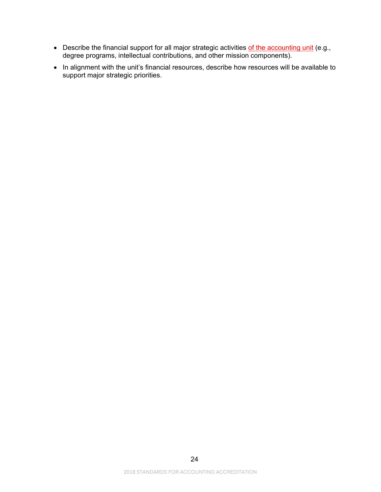- $\bullet~$  Describe the financial support for all major strategic activities  $\mathop{\rm of}\nolimits$  the accounting unit (e.g., degree programs, intellectual contributions, and other mission components).
- In alignment with the unit's financial resources, describe how resources will be available to support major strategic priorities.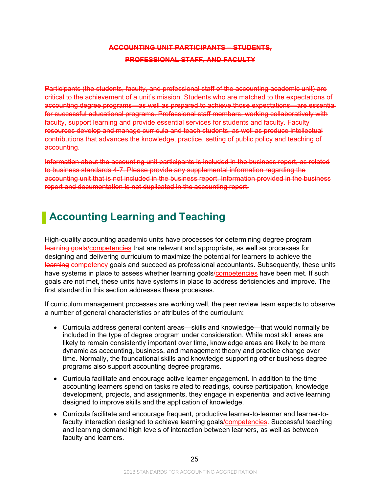# **ACCOUNTING UNIT PARTICIPANTS – STUDENTS, PROFESSIONAL STAFF, AND FACULTY**

Participants (the students, faculty, and professional staff of the accounting academic unit) are critical to the achievement of a unit's mission. Students who are matched to the expectations of accounting degree programs—as well as prepared to achieve those expectations—are essential for successful educational programs. Professional staff members, working collaboratively with faculty, support learning and provide essential services for students and faculty. Faculty resources develop and manage curricula and teach students, as well as produce intellectual contributions that advances the knowledge, practice, setting of public policy and teaching of accounting.

Information about the accounting unit participants is included in the business report, as related to business standards 4-7. Please provide any supplemental information regarding the accounting unit that is not included in the business report. Information provided in the business report and documentation is not duplicated in the accounting report.

# <span id="page-26-0"></span>**Accounting Learning and Teaching**

High-quality accounting academic units have processes for determining degree program learning goals/competencies that are relevant and appropriate, as well as processes for designing and delivering curriculum to maximize the potential for learners to achieve the learning competency goals and succeed as professional accountants. Subsequently, these units have systems in place to assess whether learning goals/competencies have been met. If such goals are not met, these units have systems in place to address deficiencies and improve. The first standard in this section addresses these processes.

If curriculum management processes are working well, the peer review team expects to observe a number of general characteristics or attributes of the curriculum:

- Curricula address general content areas—skills and knowledge—that would normally be included in the type of degree program under consideration. While most skill areas are likely to remain consistently important over time, knowledge areas are likely to be more dynamic as accounting, business, and management theory and practice change over time. Normally, the foundational skills and knowledge supporting other business degree programs also support accounting degree programs.
- Curricula facilitate and encourage active learner engagement. In addition to the time accounting learners spend on tasks related to readings, course participation, knowledge development, projects, and assignments, they engage in experiential and active learning designed to improve skills and the application of knowledge.
- Curricula facilitate and encourage frequent, productive learner-to-learner and learner-tofaculty interaction designed to achieve learning goals/competencies. Successful teaching and learning demand high levels of interaction between learners, as well as between faculty and learners.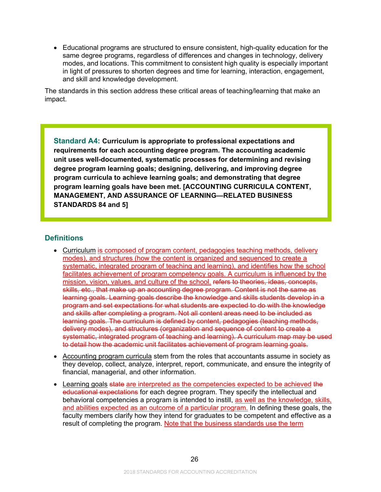• Educational programs are structured to ensure consistent, high-quality education for the same degree programs, regardless of differences and changes in technology, delivery modes, and locations. This commitment to consistent high quality is especially important in light of pressures to shorten degrees and time for learning, interaction, engagement, and skill and knowledge development.

The standards in this section address these critical areas of teaching/learning that make an impact.

**Standard A4: Curriculum is appropriate to professional expectations and requirements for each accounting degree program. The accounting academic unit uses well-documented, systematic processes for determining and revising degree program learning goals; designing, delivering, and improving degree program curricula to achieve learning goals; and demonstrating that degree program learning goals have been met. [ACCOUNTING CURRICULA CONTENT, MANAGEMENT, AND ASSURANCE OF LEARNING—RELATED BUSINESS STANDARDS 84 and 5]**

# **Definitions**

- Curriculum is composed of program content, pedagogies teaching methods, delivery modes), and structures (how the content is organized and sequenced to create a systematic, integrated program of teaching and learning), and identifies how the school facilitates achievement of program competency goals. A curriculum is influenced by the mission, vision, values, and culture of the school. refers to theories, ideas, concepts, skills, etc., that make up an accounting degree program. Content is not the same as learning goals. Learning goals describe the knowledge and skills students develop in a program and set expectations for what students are expected to do with the knowledge and skills after completing a program. Not all content areas need to be included as learning goals. The curriculum is defined by content, pedagogies (teaching methods, delivery modes), and structures (organization and sequence of content to create a systematic, integrated program of teaching and learning). A curriculum map may be used to detail how the academic unit facilitates achievement of program learning goals.
- Accounting program curricula stem from the roles that accountants assume in society as they develop, collect, analyze, interpret, report, communicate, and ensure the integrity of financial, managerial, and other information.
- Learning goals state are interpreted as the competencies expected to be achieved the educational expectations for each degree program. They specify the intellectual and behavioral competencies a program is intended to instill, as well as the knowledge, skills, and abilities expected as an outcome of a particular program. In defining these goals, the faculty members clarify how they intend for graduates to be competent and effective as a result of completing the program. Note that the business standards use the term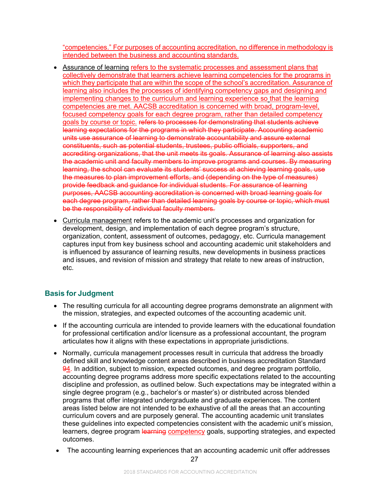"competencies." For purposes of accounting accreditation, no difference in methodology is intended between the business and accounting standards.

- Assurance of learning refers to the systematic processes and assessment plans that collectively demonstrate that learners achieve learning competencies for the programs in which they participate that are within the scope of the school's accreditation. Assurance of learning also includes the processes of identifying competency gaps and designing and implementing changes to the curriculum and learning experience so that the learning competencies are met. AACSB accreditation is concerned with broad, program-level, focused competency goals for each degree program, rather than detailed competency goals by course or topic. refers to processes for demonstrating that students achieve learning expectations for the programs in which they participate. Accounting academic units use assurance of learning to demonstrate accountability and assure external constituents, such as potential students, trustees, public officials, supporters, and accrediting organizations, that the unit meets its goals. Assurance of learning also assists the academic unit and faculty members to improve programs and courses. By measuring learning, the school can evaluate its students' success at achieving learning goals, use the measures to plan improvement efforts, and (depending on the type of measures) provide feedback and guidance for individual students. For assurance of learning purposes, AACSB accounting accreditation is concerned with broad learning goals for each degree program, rather than detailed learning goals by course or topic, which must be the responsibility of individual faculty members.
- Curricula management refers to the academic unit's processes and organization for development, design, and implementation of each degree program's structure, organization, content, assessment of outcomes, pedagogy, etc. Curricula management captures input from key business school and accounting academic unit stakeholders and is influenced by assurance of learning results, new developments in business practices and issues, and revision of mission and strategy that relate to new areas of instruction, etc.

# **Basis for Judgment**

- The resulting curricula for all accounting degree programs demonstrate an alignment with the mission, strategies, and expected outcomes of the accounting academic unit.
- If the accounting curricula are intended to provide learners with the educational foundation for professional certification and/or licensure as a professional accountant, the program articulates how it aligns with these expectations in appropriate jurisdictions.
- Normally, curricula management processes result in curricula that address the broadly defined skill and knowledge content areas described in business accreditation Standard 94. In addition, subject to mission, expected outcomes, and degree program portfolio, accounting degree programs address more specific expectations related to the accounting discipline and profession, as outlined below. Such expectations may be integrated within a single degree program (e.g., bachelor's or master's) or distributed across blended programs that offer integrated undergraduate and graduate experiences. The content areas listed below are not intended to be exhaustive of all the areas that an accounting curriculum covers and are purposely general. The accounting academic unit translates these guidelines into expected competencies consistent with the academic unit's mission, learners, degree program learning competency goals, supporting strategies, and expected outcomes.
- The accounting learning experiences that an accounting academic unit offer addresses

27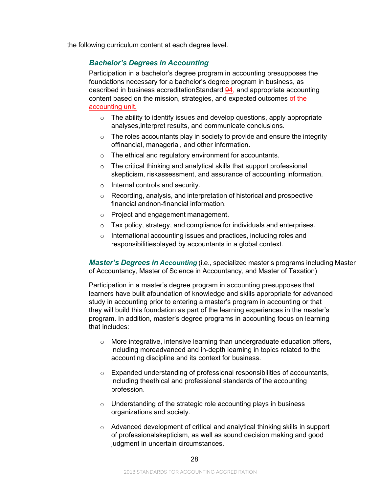the following curriculum content at each degree level.

# *Bachelor's Degrees in Accounting*

Participation in a bachelor's degree program in accounting presupposes the foundations necessary for a bachelor's degree program in business, as described in business accreditationStandard 94, and appropriate accounting content based on the mission, strategies, and expected outcomes of the accounting unit.

- $\circ$  The ability to identify issues and develop questions, apply appropriate analyses,interpret results, and communicate conclusions.
- $\circ$  The roles accountants play in society to provide and ensure the integrity offinancial, managerial, and other information.
- o The ethical and regulatory environment for accountants.
- o The critical thinking and analytical skills that support professional skepticism, riskassessment, and assurance of accounting information.
- o Internal controls and security.
- o Recording, analysis, and interpretation of historical and prospective financial andnon-financial information.
- o Project and engagement management.
- o Tax policy, strategy, and compliance for individuals and enterprises.
- o International accounting issues and practices, including roles and responsibilitiesplayed by accountants in a global context.

*Master's Degrees in Accounting* (i.e., specialized master's programs including Master of Accountancy, Master of Science in Accountancy, and Master of Taxation)

Participation in a master's degree program in accounting presupposes that learners have built afoundation of knowledge and skills appropriate for advanced study in accounting prior to entering a master's program in accounting or that they will build this foundation as part of the learning experiences in the master's program. In addition, master's degree programs in accounting focus on learning that includes:

- o More integrative, intensive learning than undergraduate education offers, including moreadvanced and in-depth learning in topics related to the accounting discipline and its context for business.
- o Expanded understanding of professional responsibilities of accountants, including theethical and professional standards of the accounting profession.
- $\circ$  Understanding of the strategic role accounting plays in business organizations and society.
- o Advanced development of critical and analytical thinking skills in support of professionalskepticism, as well as sound decision making and good judgment in uncertain circumstances.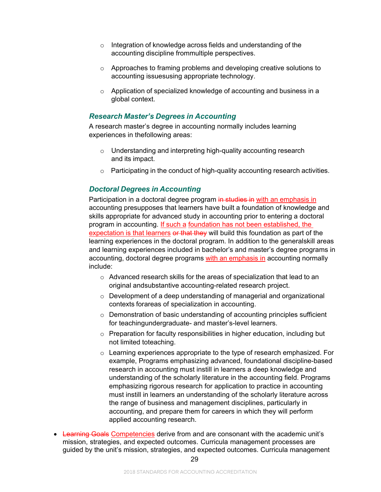- o Integration of knowledge across fields and understanding of the accounting discipline frommultiple perspectives.
- o Approaches to framing problems and developing creative solutions to accounting issuesusing appropriate technology.
- o Application of specialized knowledge of accounting and business in a global context.

# *Research Master's Degrees in Accounting*

A research master's degree in accounting normally includes learning experiences in thefollowing areas:

- o Understanding and interpreting high-quality accounting research and its impact.
- o Participating in the conduct of high-quality accounting research activities.

# *Doctoral Degrees in Accounting*

Participation in a doctoral degree program in studies in with an emphasis in accounting presupposes that learners have built a foundation of knowledge and skills appropriate for advanced study in accounting prior to entering a doctoral program in accounting. If such a foundation has not been established, the expectation is that learners or that they will build this foundation as part of the learning experiences in the doctoral program. In addition to the generalskill areas and learning experiences included in bachelor's and master's degree programs in accounting, doctoral degree programs with an emphasis in accounting normally include:

- o Advanced research skills for the areas of specialization that lead to an original andsubstantive accounting-related research project.
- o Development of a deep understanding of managerial and organizational contexts forareas of specialization in accounting.
- o Demonstration of basic understanding of accounting principles sufficient for teachingundergraduate- and master's-level learners.
- o Preparation for faculty responsibilities in higher education, including but not limited toteaching.
- $\circ$  Learning experiences appropriate to the type of research emphasized. For example, Programs emphasizing advanced, foundational discipline-based research in accounting must instill in learners a deep knowledge and understanding of the scholarly literature in the accounting field. Programs emphasizing rigorous research for application to practice in accounting must instill in learners an understanding of the scholarly literature across the range of business and management disciplines, particularly in accounting, and prepare them for careers in which they will perform applied accounting research.
- Learning Goals Competencies derive from and are consonant with the academic unit's mission, strategies, and expected outcomes. Curricula management processes are guided by the unit's mission, strategies, and expected outcomes. Curricula management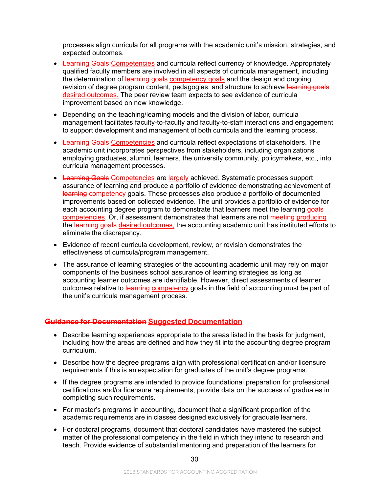processes align curricula for all programs with the academic unit's mission, strategies, and expected outcomes.

- Learning Goals Competencies and curricula reflect currency of knowledge. Appropriately qualified faculty members are involved in all aspects of curricula management, including the determination of learning goals competency goals and the design and ongoing revision of degree program content, pedagogies, and structure to achieve learning goals desired outcomes. The peer review team expects to see evidence of curricula improvement based on new knowledge.
- Depending on the teaching/learning models and the division of labor, curricula management facilitates faculty-to-faculty and faculty-to-staff interactions and engagement to support development and management of both curricula and the learning process.
- Learning Goals Competencies and curricula reflect expectations of stakeholders. The academic unit incorporates perspectives from stakeholders, including organizations employing graduates, alumni, learners, the university community, policymakers, etc., into curricula management processes.
- Learning Goals Competencies are largely achieved. Systematic processes support assurance of learning and produce a portfolio of evidence demonstrating achievement of learning competency goals. These processes also produce a portfolio of documented improvements based on collected evidence. The unit provides a portfolio of evidence for each accounting degree program to demonstrate that learners meet the learning goals competencies. Or, if assessment demonstrates that learners are not meeting producing the learning goals desired outcomes, the accounting academic unit has instituted efforts to eliminate the discrepancy.
- Evidence of recent curricula development, review, or revision demonstrates the effectiveness of curricula/program management.
- The assurance of learning strategies of the accounting academic unit may rely on major components of the business school assurance of learning strategies as long as accounting learner outcomes are identifiable. However, direct assessments of learner outcomes relative to learning competency goals in the field of accounting must be part of the unit's curricula management process.

# **Guidance for Documentation Suggested Documentation**

- Describe learning experiences appropriate to the areas listed in the basis for judgment, including how the areas are defined and how they fit into the accounting degree program curriculum.
- Describe how the degree programs align with professional certification and/or licensure requirements if this is an expectation for graduates of the unit's degree programs.
- If the degree programs are intended to provide foundational preparation for professional certifications and/or licensure requirements, provide data on the success of graduates in completing such requirements.
- For master's programs in accounting, document that a significant proportion of the academic requirements are in classes designed exclusively for graduate learners.
- For doctoral programs, document that doctoral candidates have mastered the subject matter of the professional competency in the field in which they intend to research and teach. Provide evidence of substantial mentoring and preparation of the learners for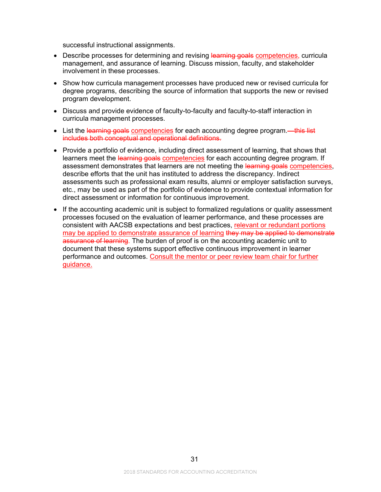successful instructional assignments.

- Describe processes for determining and revising learning goals competencies, curricula management, and assurance of learning. Discuss mission, faculty, and stakeholder involvement in these processes.
- Show how curricula management processes have produced new or revised curricula for degree programs, describing the source of information that supports the new or revised program development.
- Discuss and provide evidence of faculty-to-faculty and faculty-to-staff interaction in curricula management processes.
- List the learning goals competencies for each accounting degree program.—this list includes both conceptual and operational definitions.
- Provide a portfolio of evidence, including direct assessment of learning, that shows that learners meet the learning goals competencies for each accounting degree program. If assessment demonstrates that learners are not meeting the learning goals competencies, describe efforts that the unit has instituted to address the discrepancy. Indirect assessments such as professional exam results, alumni or employer satisfaction surveys, etc., may be used as part of the portfolio of evidence to provide contextual information for direct assessment or information for continuous improvement.
- If the accounting academic unit is subject to formalized regulations or quality assessment processes focused on the evaluation of learner performance, and these processes are consistent with AACSB expectations and best practices, relevant or redundant portions may be applied to demonstrate assurance of learning they may be applied to demonstrate assurance of learning. The burden of proof is on the accounting academic unit to document that these systems support effective continuous improvement in learner performance and outcomes. Consult the mentor or peer review team chair for further guidance.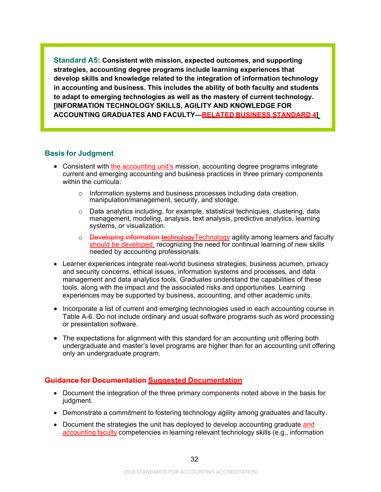**Standard A5: Consistent with mission, expected outcomes, and supporting strategies, accounting degree programs include learning experiences that develop skills and knowledge related to the integration of information technology in accounting and business. This includes the ability of both faculty and students to adapt to emerging technologies as well as the mastery of current technology. [INFORMATION TECHNOLOGY SKILLS, AGILITY AND KNOWLEDGE FOR ACCOUNTING GRADUATES AND FACULTY—RELATED BUSINESS STANDARD 4]**

# **Basis for Judgment**

- Consistent with the accounting unit's mission, accounting degree programs integrate current and emerging accounting and business practices in three primary components within the curricula:
	- $\circ$  Information systems and business processes including data creation, manipulation/management, security, and storage.
	- $\circ$  Data analytics including, for example, statistical techniques, clustering, data management, modeling, analysis, text analysis, predictive analytics, learning systems, or visualization.
	- o Developing information technologyTechnology agility among learners and faculty should be developed, recognizing the need for continual learning of new skills needed by accounting professionals.
- Learner experiences integrate real-world business strategies, business acumen, privacy and security concerns, ethical issues, information systems and processes, and data management and data analytics tools. Graduates understand the capabilities of these tools, along with the impact and the associated risks and opportunities. Learning experiences may be supported by business, accounting, and other academic units.
- Incorporate a list of current and emerging technologies used in each accounting course in Table A-6. Do not include ordinary and usual software programs such as word processing or presentation software.
- The expectations for alignment with this standard for an accounting unit offering both undergraduate and master's level programs are higher than for an accounting unit offering only an undergraduate program.

# **Guidance for Documentation Suggested Documentation**

- Document the integration of the three primary components noted above in the basis for judgment.
- Demonstrate a commitment to fostering technology agility among graduates and faculty.
- Document the strategies the unit has deployed to develop accounting graduate and accounting faculty competencies in learning relevant technology skills (e.g., information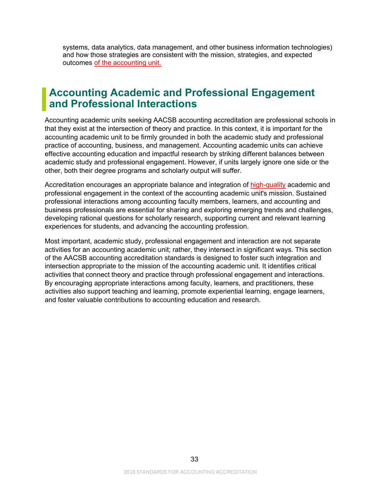systems, data analytics, data management, and other business information technologies) and how those strategies are consistent with the mission, strategies, and expected outcomes of the accounting unit.

# <span id="page-34-0"></span>**Accounting Academic and Professional Engagement and Professional Interactions**

Accounting academic units seeking AACSB accounting accreditation are professional schools in that they exist at the intersection of theory and practice. In this context, it is important for the accounting academic unit to be firmly grounded in both the academic study and professional practice of accounting, business, and management. Accounting academic units can achieve effective accounting education and impactful research by striking different balances between academic study and professional engagement. However, if units largely ignore one side or the other, both their degree programs and scholarly output will suffer.

Accreditation encourages an appropriate balance and integration of high-quality academic and professional engagement in the context of the accounting academic unit's mission. Sustained professional interactions among accounting faculty members, learners, and accounting and business professionals are essential for sharing and exploring emerging trends and challenges, developing rational questions for scholarly research, supporting current and relevant learning experiences for students, and advancing the accounting profession.

Most important, academic study, professional engagement and interaction are not separate activities for an accounting academic unit; rather, they intersect in significant ways. This section of the AACSB accounting accreditation standards is designed to foster such integration and intersection appropriate to the mission of the accounting academic unit. It identifies critical activities that connect theory and practice through professional engagement and interactions. By encouraging appropriate interactions among faculty, learners, and practitioners, these activities also support teaching and learning, promote experiential learning, engage learners, and foster valuable contributions to accounting education and research.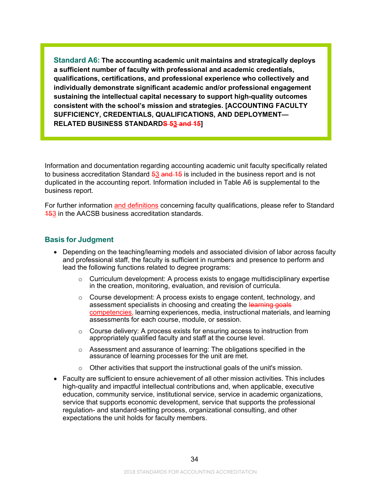**Standard A6: The accounting academic unit maintains and strategically deploys a sufficient number of faculty with professional and academic credentials, qualifications, certifications, and professional experience who collectively and individually demonstrate significant academic and/or professional engagement sustaining the intellectual capital necessary to support high-quality outcomes consistent with the school's mission and strategies. [ACCOUNTING FACULTY SUFFICIENCY, CREDENTIALS, QUALIFICATIONS, AND DEPLOYMENT— RELATED BUSINESS STANDARDS 53 and 15]**

Information and documentation regarding accounting academic unit faculty specifically related to business accreditation Standard  $53$  and  $15$  is included in the business report and is not duplicated in the accounting report. Information included in Table A6 is supplemental to the business report.

For further information and definitions concerning faculty qualifications, please refer to Standard 153 in the AACSB business accreditation standards.

#### **Basis for Judgment**

- Depending on the teaching/learning models and associated division of labor across faculty and professional staff, the faculty is sufficient in numbers and presence to perform and lead the following functions related to degree programs:
	- $\circ$  Curriculum development: A process exists to engage multidisciplinary expertise in the creation, monitoring, evaluation, and revision of curricula.
	- o Course development: A process exists to engage content, technology, and assessment specialists in choosing and creating the learning goals competencies, learning experiences, media, instructional materials, and learning assessments for each course, module, or session.
	- $\circ$  Course delivery: A process exists for ensuring access to instruction from appropriately qualified faculty and staff at the course level.
	- $\circ$  Assessment and assurance of learning: The obligations specified in the assurance of learning processes for the unit are met.
	- $\circ$  Other activities that support the instructional goals of the unit's mission.
- Faculty are sufficient to ensure achievement of all other mission activities. This includes high-quality and impactful intellectual contributions and, when applicable, executive education, community service, institutional service, service in academic organizations, service that supports economic development, service that supports the professional regulation- and standard-setting process, organizational consulting, and other expectations the unit holds for faculty members.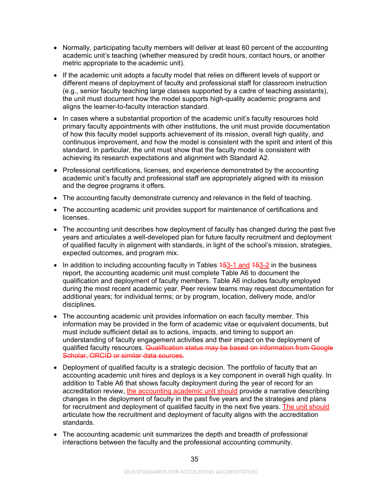- Normally, participating faculty members will deliver at least 60 percent of the accounting academic unit's teaching (whether measured by credit hours, contact hours, or another metric appropriate to the academic unit).
- If the academic unit adopts a faculty model that relies on different levels of support or different means of deployment of faculty and professional staff for classroom instruction (e.g., senior faculty teaching large classes supported by a cadre of teaching assistants), the unit must document how the model supports high-quality academic programs and aligns the learner-to-faculty interaction standard.
- In cases where a substantial proportion of the academic unit's faculty resources hold primary faculty appointments with other institutions, the unit must provide documentation of how this faculty model supports achievement of its mission, overall high quality, and continuous improvement, and how the model is consistent with the spirit and intent of this standard. In particular, the unit must show that the faculty model is consistent with achieving its research expectations and alignment with Standard A2.
- Professional certifications, licenses, and experience demonstrated by the accounting academic unit's faculty and professional staff are appropriately aligned with its mission and the degree programs it offers.
- The accounting faculty demonstrate currency and relevance in the field of teaching.
- The accounting academic unit provides support for maintenance of certifications and licenses.
- The accounting unit describes how deployment of faculty has changed during the past five years and articulates a well-developed plan for future faculty recruitment and deployment of qualified faculty in alignment with standards, in light of the school's mission, strategies, expected outcomes, and program mix.
- In addition to including accounting faculty in Tables  $453-1$  and  $453-2$  in the business report, the accounting academic unit must complete Table A6 to document the qualification and deployment of faculty members. Table A6 includes faculty employed during the most recent academic year. Peer review teams may request documentation for additional years; for individual terms; or by program, location, delivery mode, and/or disciplines.
- The accounting academic unit provides information on each faculty member. This information may be provided in the form of academic vitae or equivalent documents, but must include sufficient detail as to actions, impacts, and timing to support an understanding of faculty engagement activities and their impact on the deployment of qualified faculty resources. Qualification status may be based on information from Google Scholar, ORCID or similar data sources.
- Deployment of qualified faculty is a strategic decision. The portfolio of faculty that an accounting academic unit hires and deploys is a key component in overall high quality. In addition to Table A6 that shows faculty deployment during the year of record for an accreditation review, the accounting academic unit should provide a narrative describing changes in the deployment of faculty in the past five years and the strategies and plans for recruitment and deployment of qualified faculty in the next five years. The unit should articulate how the recruitment and deployment of faculty aligns with the accreditation standards.
- The accounting academic unit summarizes the depth and breadth of professional interactions between the faculty and the professional accounting community.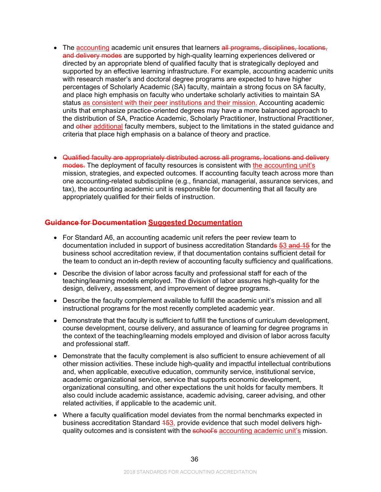- The accounting academic unit ensures that learners all programs, disciplines, locations, and delivery modes are supported by high-quality learning experiences delivered or directed by an appropriate blend of qualified faculty that is strategically deployed and supported by an effective learning infrastructure. For example, accounting academic units with research master's and doctoral degree programs are expected to have higher percentages of Scholarly Academic (SA) faculty, maintain a strong focus on SA faculty, and place high emphasis on faculty who undertake scholarly activities to maintain SA status as consistent with their peer institutions and their mission. Accounting academic units that emphasize practice-oriented degrees may have a more balanced approach to the distribution of SA, Practice Academic, Scholarly Practitioner, Instructional Practitioner, and other additional faculty members, subject to the limitations in the stated guidance and criteria that place high emphasis on a balance of theory and practice.
- Qualified faculty are appropriately distributed across all programs, locations and delivery modes. The deployment of faculty resources is consistent with the accounting unit's mission, strategies, and expected outcomes. If accounting faculty teach across more than one accounting-related subdiscipline (e.g., financial, managerial, assurance services, and tax), the accounting academic unit is responsible for documenting that all faculty are appropriately qualified for their fields of instruction.

# **Guidance for Documentation Suggested Documentation**

- For Standard A6, an accounting academic unit refers the peer review team to documentation included in support of business accreditation Standards 53 and 15 for the business school accreditation review, if that documentation contains sufficient detail for the team to conduct an in-depth review of accounting faculty sufficiency and qualifications.
- Describe the division of labor across faculty and professional staff for each of the teaching/learning models employed. The division of labor assures high-quality for the design, delivery, assessment, and improvement of degree programs.
- Describe the faculty complement available to fulfill the academic unit's mission and all instructional programs for the most recently completed academic year.
- Demonstrate that the faculty is sufficient to fulfill the functions of curriculum development, course development, course delivery, and assurance of learning for degree programs in the context of the teaching/learning models employed and division of labor across faculty and professional staff.
- Demonstrate that the faculty complement is also sufficient to ensure achievement of all other mission activities. These include high-quality and impactful intellectual contributions and, when applicable, executive education, community service, institutional service, academic organizational service, service that supports economic development, organizational consulting, and other expectations the unit holds for faculty members. It also could include academic assistance, academic advising, career advising, and other related activities, if applicable to the academic unit.
- Where a faculty qualification model deviates from the normal benchmarks expected in business accreditation Standard 453, provide evidence that such model delivers highquality outcomes and is consistent with the school's accounting academic unit's mission.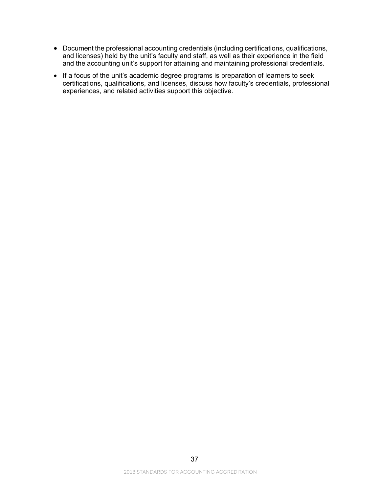- Document the professional accounting credentials (including certifications, qualifications, and licenses) held by the unit's faculty and staff, as well as their experience in the field and the accounting unit's support for attaining and maintaining professional credentials.
- If a focus of the unit's academic degree programs is preparation of learners to seek certifications, qualifications, and licenses, discuss how faculty's credentials, professional experiences, and related activities support this objective.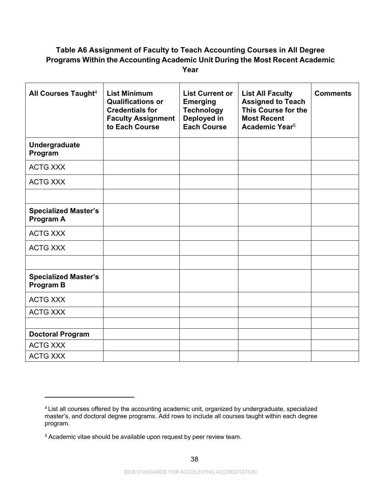# **Table A6 Assignment of Faculty to Teach Accounting Courses in All Degree Programs Within the Accounting Academic Unit During the Most Recent Academic Year**

| All Courses Taught <sup>4</sup>                 | <b>List Minimum</b><br><b>Qualifications or</b><br><b>Credentials for</b><br><b>Faculty Assignment</b><br>to Each Course | <b>List Current or</b><br><b>Emerging</b><br><b>Technology</b><br>Deployed in<br><b>Each Course</b> | <b>List All Faculty</b><br><b>Assigned to Teach</b><br>This Course for the<br><b>Most Recent</b><br>Academic Year <sup>5</sup> | <b>Comments</b> |
|-------------------------------------------------|--------------------------------------------------------------------------------------------------------------------------|-----------------------------------------------------------------------------------------------------|--------------------------------------------------------------------------------------------------------------------------------|-----------------|
| Undergraduate<br>Program                        |                                                                                                                          |                                                                                                     |                                                                                                                                |                 |
| <b>ACTG XXX</b>                                 |                                                                                                                          |                                                                                                     |                                                                                                                                |                 |
| <b>ACTG XXX</b>                                 |                                                                                                                          |                                                                                                     |                                                                                                                                |                 |
|                                                 |                                                                                                                          |                                                                                                     |                                                                                                                                |                 |
| <b>Specialized Master's</b><br>Program A        |                                                                                                                          |                                                                                                     |                                                                                                                                |                 |
| <b>ACTG XXX</b>                                 |                                                                                                                          |                                                                                                     |                                                                                                                                |                 |
| <b>ACTG XXX</b>                                 |                                                                                                                          |                                                                                                     |                                                                                                                                |                 |
|                                                 |                                                                                                                          |                                                                                                     |                                                                                                                                |                 |
| <b>Specialized Master's</b><br><b>Program B</b> |                                                                                                                          |                                                                                                     |                                                                                                                                |                 |
| <b>ACTG XXX</b>                                 |                                                                                                                          |                                                                                                     |                                                                                                                                |                 |
| <b>ACTG XXX</b>                                 |                                                                                                                          |                                                                                                     |                                                                                                                                |                 |
|                                                 |                                                                                                                          |                                                                                                     |                                                                                                                                |                 |
| <b>Doctoral Program</b>                         |                                                                                                                          |                                                                                                     |                                                                                                                                |                 |
| <b>ACTG XXX</b>                                 |                                                                                                                          |                                                                                                     |                                                                                                                                |                 |
| <b>ACTG XXX</b>                                 |                                                                                                                          |                                                                                                     |                                                                                                                                |                 |

<span id="page-39-0"></span><sup>4</sup> List all courses offered by the accounting academic unit, organized by undergraduate, specialized master's, and doctoral degree programs. Add rows to include all courses taught within each degree program.

<span id="page-39-1"></span><sup>5</sup> Academic vitae should be available upon request by peer review team.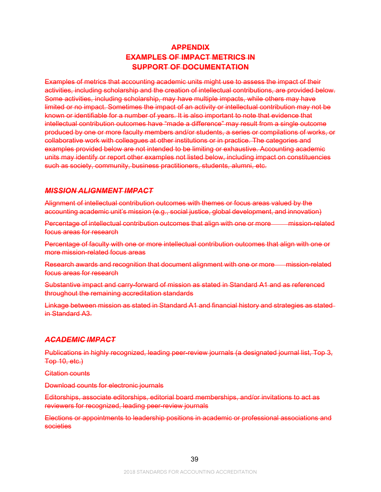# **APPENDIX EXAMPLES OF IMPACT METRICS IN SUPPORT OF DOCUMENTATION**

Examples of metrics that accounting academic units might use to assess the impact of their activities, including scholarship and the creation of intellectual contributions, are provided below. Some activities, including scholarship, may have multiple impacts, while others may have limited or no impact. Sometimes the impact of an activity or intellectual contribution may not be known or identifiable for a number of years. It is also important to note that evidence that intellectual contribution outcomes have "made a difference" may result from a single outcome produced by one or more faculty members and/or students, a series or compilations of works, or collaborative work with colleagues at other institutions or in practice. The categories and examples provided below are not intended to be limiting or exhaustive. Accounting academic units may identify or report other examples not listed below, including impact on constituencies such as society, community, business practitioners, students, alumni, etc.

# *MISSION ALIGNMENT IMPACT*

Alignment of intellectual contribution outcomes with themes or focus areas valued by the accounting academic unit's mission (e.g., social justice, global development, and innovation)

Percentage of intellectual contribution outcomes that align with one or more mission-related focus areas for research

Percentage of faculty with one or more intellectual contribution outcomes that align with one or more mission-related focus areas

Research awards and recognition that document alignment with one or more mission-related focus areas for research

Substantive impact and carry-forward of mission as stated in Standard A1 and as referenced throughout the remaining accreditation standards

Linkage between mission as stated in Standard A1 and financial history and strategies as stated in Standard A3.

# *ACADEMIC IMPACT*

Publications in highly recognized, leading peer-review journals (a designated journal list, Top 3, Top 10, etc.)

Citation counts

Download counts for electronic journals

Editorships, associate editorships, editorial board memberships, and/or invitations to act as reviewers for recognized, leading peer-review journals

Elections or appointments to leadership positions in academic or professional associations and societies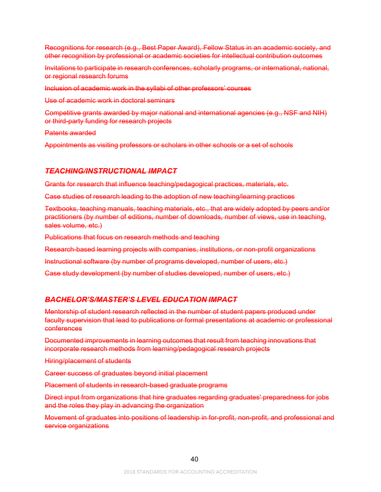Recognitions for research (e.g., Best Paper Award), Fellow Status in an academic society, and other recognition by professional or academic societies for intellectual contribution outcomes

Invitations to participate in research conferences, scholarly programs, or international, national, or regional research forums

Inclusion of academic work in the syllabi of other professors' courses

Use of academic work in doctoral seminars

Competitive grants awarded by major national and international agencies (e.g., NSF and NIH) or third-party funding for research projects

Patents awarded

Appointments as visiting professors or scholars in other schools or a set of schools

#### *TEACHING/INSTRUCTIONAL IMPACT*

Grants for research that influence teaching/pedagogical practices, materials, etc.

Case studies of research leading to the adoption of new teaching/learning practices

Textbooks, teaching manuals, teaching materials, etc., that are widely adopted by peers and/or practitioners (by number of editions, number of downloads, number of views, use in teaching, sales volume, etc.)

Publications that focus on research methods and teaching

Research-based learning projects with companies, institutions, or non-profit organizations

Instructional software (by number of programs developed, number of users, etc.)

Case study development (by number of studies developed, number of users, etc.)

#### *BACHELOR'S/MASTER'S LEVEL EDUCATION IMPACT*

Mentorship of student research reflected in the number of student papers produced under faculty supervision that lead to publications or formal presentations at academic or professional conferences

Documented improvements in learning outcomes that result from teaching innovations that incorporate research methods from learning/pedagogical research projects

Hiring/placement of students

Career success of graduates beyond initial placement

Placement of students in research-based graduate programs

Direct input from organizations that hire graduates regarding graduates' preparedness for jobs and the roles they play in advancing the organization

Movement of graduates into positions of leadership in for-profit, non-profit, and professional and service organizations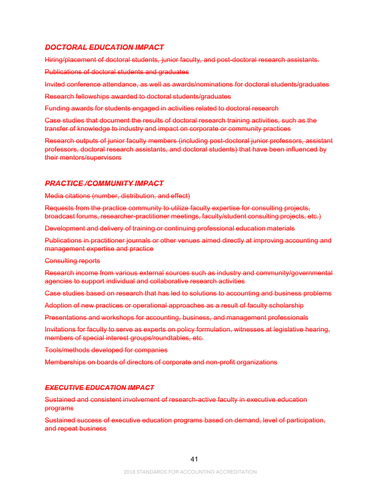# *DOCTORAL EDUCATION IMPACT*

Hiring/placement of doctoral students, junior faculty, and post-doctoral research assistants.

Publications of doctoral students and graduates

Invited conference attendance, as well as awards/nominations for doctoral students/graduates

Research fellowships awarded to doctoral students/graduates

Funding awards for students engaged in activities related to doctoral research

Case studies that document the results of doctoral research training activities, such as the transfer of knowledge to industry and impact on corporate or community practices

Research outputs of junior faculty members (including post-doctoral junior professors, assistant professors, doctoral research assistants, and doctoral students) that have been influenced by their mentors/supervisors

# *PRACTICE /COMMUNITY IMPACT*

Media citations (number, distribution, and effect)

Requests from the practice community to utilize faculty expertise for consulting projects, broadcast forums, researcher-practitioner meetings, faculty/student consulting projects, etc.)

Development and delivery of training or continuing professional education materials

Publications in practitioner journals or other venues aimed directly at improving accounting and management expertise and practice

Consulting reports

Research income from various external sources such as industry and community/governmental agencies to support individual and collaborative research activities

Case studies based on research that has led to solutions to accounting and business problems

Adoption of new practices or operational approaches as a result of faculty scholarship

Presentations and workshops for accounting, business, and management professionals

Invitations for faculty to serve as experts on policy formulation, witnesses at legislative hearing, members of special interest groups/roundtables, etc.

Tools/methods developed for companies

Memberships on boards of directors of corporate and non-profit organizations

#### *EXECUTIVE EDUCATION IMPACT*

Sustained and consistent involvement of research-active faculty in executive education programs

Sustained success of executive education programs based on demand, level of participation, and repeat business